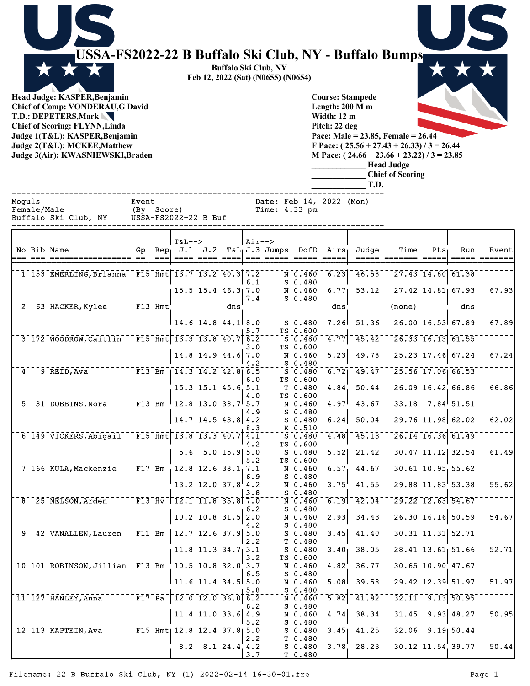|               | USSA-FS2022-22 B Buffalo Ski Club, NY - Buffalo Bumps<br>Head Judge: KASPER, Benjamin<br><b>Chief of Comp: VONDERAU,G David</b><br>T.D.: DEPETERS, Mark<br><b>Chief of Scoring: FLYNN, Linda</b><br>Judge 1(T&L): KASPER, Benjamin<br>Judge 2(T&L): MCKEE, Matthew<br>Judge 3(Air): KWASNIEWSKI, Braden   |                                  |                                      |     |            | <b>Buffalo Ski Club, NY</b><br>Feb 12, 2022 (Sat) (N0655) (N0654) |                                                                     | Length: 200 M m<br><b>Width: 12 m</b><br>Pitch: 22 deg | <b>Course: Stampede</b><br>T.D.           | Pace: Male = $23.85$ , Female = $26.44$<br>F Pace: $(25.56 + 27.43 + 26.33)/3 = 26.44$<br>M Pace: $(24.66 + 23.66 + 23.22) / 3 = 23.85$<br><b>Head Judge</b><br><b>Chief of Scoring</b> |     |                                              |       |
|---------------|-----------------------------------------------------------------------------------------------------------------------------------------------------------------------------------------------------------------------------------------------------------------------------------------------------------|----------------------------------|--------------------------------------|-----|------------|-------------------------------------------------------------------|---------------------------------------------------------------------|--------------------------------------------------------|-------------------------------------------|-----------------------------------------------------------------------------------------------------------------------------------------------------------------------------------------|-----|----------------------------------------------|-------|
| Moguls        | Female/Male                                                                                                                                                                                                                                                                                               | Event<br>(By Score)              |                                      |     |            | Date: Feb 14, 2022 (Mon)<br>Time: 4:33 pm                         |                                                                     |                                                        |                                           |                                                                                                                                                                                         |     |                                              |       |
|               | Buffalo Ski Club, NY                                                                                                                                                                                                                                                                                      | USSA-FS2022-22 B Buf             |                                      |     |            |                                                                   |                                                                     |                                                        |                                           |                                                                                                                                                                                         |     |                                              |       |
|               | No <sub>1</sub> Bib Name                                                                                                                                                                                                                                                                                  | $Rep_{\perp}$<br>Gp              | $T&L-->$<br>$J.1$ $J.2$              |     | $Air--$    | $T&L_1J.3$ Jumps<br>=== ===== ==                                  |                                                                     | $DofD$ Airs                                            | Judge <sub>1</sub>                        | Time                                                                                                                                                                                    | Pts | Run                                          | Event |
|               | 1 153 EMERLING, Brianna F15 Hmt 13.7 13.2 40.3 7.2                                                                                                                                                                                                                                                        |                                  |                                      |     |            |                                                                   | N 0.460                                                             | 6.23                                                   | $-46.58$                                  |                                                                                                                                                                                         |     | $\sqrt{27.43}$ $\sqrt{14.80}$ 61.38          |       |
|               |                                                                                                                                                                                                                                                                                                           |                                  | $15.5$ 15.4 46.3 7.0                 |     | 6.1<br>7.4 |                                                                   | $S$ 0.480<br>N 0.460<br>S 0.480                                     | 6.77 <sub>1</sub>                                      | 53.12 <sub>1</sub>                        |                                                                                                                                                                                         |     | $27.42$ 14.81 67.93                          | 67.93 |
| $2^{\degree}$ | $-63$ $HACKER, KyLee$                                                                                                                                                                                                                                                                                     | $F13$ Hmt                        |                                      | dns |            |                                                                   |                                                                     | dns                                                    |                                           | (none)                                                                                                                                                                                  |     | dns                                          |       |
|               |                                                                                                                                                                                                                                                                                                           |                                  | $14.6$ 14.8 $44.1$ 8.0               |     | 5.7        |                                                                   | $S$ 0.480<br>TS 0.600                                               | 7.26                                                   | 51.36                                     |                                                                                                                                                                                         |     | $26.00$ 16.53 67.89                          | 67.89 |
|               | 3 172 WOODROW, Caitlin F15 Hmt 13.3 13.8 40.7 6.2                                                                                                                                                                                                                                                         |                                  | 14.8 14.9 44.6                       |     | 3.0<br>7.0 |                                                                   | S 0.480<br>TS 0.600<br>N 0.460                                      | 4.77<br>5.23                                           | 45.42<br>49.78                            |                                                                                                                                                                                         |     | $26.33$ $16.13$ $61.55$<br>25.23 17.46 67.24 | 67.24 |
| 4             | 9 REID, Ava                                                                                                                                                                                                                                                                                               | $\overline{F13} - \overline{Bm}$ |                                      |     | 4.2        |                                                                   | $S_0.480$<br>$S$ 0.480                                              |                                                        | $\overline{6.72}$   49.47  $\overline{1}$ |                                                                                                                                                                                         |     | 25.56 17.06 66.53                            |       |
|               |                                                                                                                                                                                                                                                                                                           |                                  | $15.3$ 15.1 45.6 5.1                 |     | 6.0        |                                                                   | TS 0.600<br>T 0.480                                                 | 4.84                                                   | 50.44                                     |                                                                                                                                                                                         |     | 26.09 16.42 66.86                            | 66.86 |
|               | $-5$ <sup>+</sup> 31 DOBBINS, Nora <sup>-----</sup> F13 <sup>-Bm-+</sup> 12.8 13.0 38.7 <sup>+</sup> 5.7 <sup>-</sup>                                                                                                                                                                                     |                                  |                                      |     | 4.0        |                                                                   | TS 0.600<br>$\overline{N}$ 0.460<br>S 0.480                         |                                                        |                                           | $4.97$ <sup>1</sup> $43.67$ <sup>1</sup> $-33.16$ $7.84$ $51.51$                                                                                                                        |     |                                              |       |
|               |                                                                                                                                                                                                                                                                                                           |                                  | $14.7$ 14.5 43.8 4.2                 |     | 4.9<br>8.3 |                                                                   | S 0.480<br>$K = 0.510$                                              |                                                        |                                           | $6.24$ 50.04 29.76 11.98 62.02 62.02                                                                                                                                                    |     |                                              |       |
|               | $\frac{1}{6}$ 149 VICKERS, Abigail F15 Hmt 13.8 13.3 40.7 4.1                                                                                                                                                                                                                                             |                                  |                                      |     | 4.2        |                                                                   | $-5 - 0.480$<br>TS 0.600                                            |                                                        |                                           | $-4.48$ <sup>-</sup> 45.13 <sup>--</sup> 26.14 16.36 61.49 <sup>--</sup>                                                                                                                |     |                                              |       |
|               |                                                                                                                                                                                                                                                                                                           |                                  | $5.6$ 5.0 15.9 5.0                   |     | 5.2        |                                                                   | S 0.480<br>TS 0.600                                                 |                                                        |                                           | 5.52 21.42 30.47 11.12 32.54 61.49                                                                                                                                                      |     |                                              |       |
|               | $7^{+}_{1}$ 166 KULA, Mackenzie F17 Bm $12.8$ 12.6 38.1 7.1                                                                                                                                                                                                                                               |                                  |                                      |     | 6.9        |                                                                   | S 0.480                                                             |                                                        |                                           | $\overline{N}$ 0.460 6.57 44.67 30.61 10.95 55.62                                                                                                                                       |     |                                              |       |
|               | $\frac{1}{8}$ 25 NELSON, Arden $\frac{1}{8}$ = 13 Hv $\frac{1}{12}$ .1 11.8 35.8 $\frac{1}{7}$ .0                                                                                                                                                                                                         |                                  | $13.2$ 12.0 37.8 4.2                 |     | 3.8        |                                                                   | N 0.460                                                             |                                                        |                                           | $3.75^{\text{!}}$ 41.55 29.88 11.83 53.38 55.62<br>$-{\frac{5}{N}}-{\frac{0.480}{0.460}}-{\frac{1}{6.19}}-{\frac{1}{42.04}}-{\frac{1}{29.22}}-{\frac{1}{27.63}}+$                       |     |                                              |       |
|               |                                                                                                                                                                                                                                                                                                           |                                  | $10.2$ 10.8 31.5 2.0                 |     | 6.2        |                                                                   | S 0.480<br>N 0.460                                                  |                                                        |                                           | $2.93$ 34.43 26.30 16.16 50.59 54.67                                                                                                                                                    |     |                                              |       |
|               | $\frac{1}{9}$ $\frac{4.2}{42}$ $\frac{1}{9}$ $\frac{1}{42}$ $\frac{1}{9}$ $\frac{1}{131}$ $\frac{1}{151}$ $\frac{1}{151}$ $\frac{1}{151}$ $\frac{1}{151}$ $\frac{1}{151}$ $\frac{1}{151}$ $\frac{1}{151}$ $\frac{1}{151}$ $\frac{1}{151}$ $\frac{1}{151}$ $\frac{1}{151}$ $\frac{1}{151}$ $\frac{1}{151}$ |                                  |                                      |     |            |                                                                   |                                                                     |                                                        |                                           |                                                                                                                                                                                         |     |                                              |       |
|               |                                                                                                                                                                                                                                                                                                           |                                  | $11.8$ 11.3 34.7 3.1                 |     | 2.2        |                                                                   | T 0.480<br>S 0.480                                                  |                                                        |                                           | $3.40$ $38.05$ $28.41$ $13.61$ $51.66$ $52.71$                                                                                                                                          |     |                                              |       |
|               | $10^{+}$ 101 ROBINSON, Jillian F13 Bm <sup>-<math>+</math></sup> 10.5 10.8 32.0 <sup>+</sup> 3.7 <sup>-</sup>                                                                                                                                                                                             |                                  |                                      |     | 3.2        |                                                                   | TS 0.600                                                            |                                                        |                                           | $N = 0.460 - 4.82^{+0.3677^{+0.30765}}$ 10.90 47.67                                                                                                                                     |     |                                              |       |
|               |                                                                                                                                                                                                                                                                                                           |                                  | $11.6$ 11.4 34.5 5.0                 |     | 6.5        |                                                                   | S 0.480<br>N 0.460                                                  |                                                        |                                           | $5.08$ 39.58 29.42 12.39 51.97                                                                                                                                                          |     |                                              | 51.97 |
|               | $11 127$ HANLEY, Anna <sup>-------</sup> F17 Pa <sup>-</sup> 12.0 12.0 36.0 $\frac{5.8}{6.2}$ -----N 0.480                                                                                                                                                                                                |                                  |                                      |     |            |                                                                   |                                                                     |                                                        |                                           | $\overline{5.82}$ $\overline{41.82}$ $\overline{22.11}$ $\overline{9.13}$ $\overline{50.95}$ $\overline{2}$                                                                             |     |                                              |       |
|               |                                                                                                                                                                                                                                                                                                           |                                  | 11.4 11.0 33.6 4.9 N 0.460           |     | 5.2        |                                                                   | $-{\frac{S}{S}}^{\frac{0}{S}}\cdot {\frac{480}{480}}^{\frac{0}{s}}$ |                                                        |                                           | $4.74$ 38.34 31.45 9.93 48.27                                                                                                                                                           |     |                                              | 50.95 |
|               | 12 113 KAPTEIN, Ava F15 Hmt 12.8 12.4 37.8 5.0                                                                                                                                                                                                                                                            |                                  |                                      |     | 2.2        |                                                                   | T 0.480                                                             |                                                        |                                           | $3.45$ <sup>-</sup> $41.25$ <sup>--</sup> $32.06$ <sup>-</sup> $9.19$ <sup>50.44-</sup>                                                                                                 |     |                                              |       |
|               |                                                                                                                                                                                                                                                                                                           |                                  | $8.2 \quad 8.1 \quad 24.4 \quad 4.2$ |     | 3.7        |                                                                   | T 0.480                                                             |                                                        |                                           |                                                                                                                                                                                         |     |                                              |       |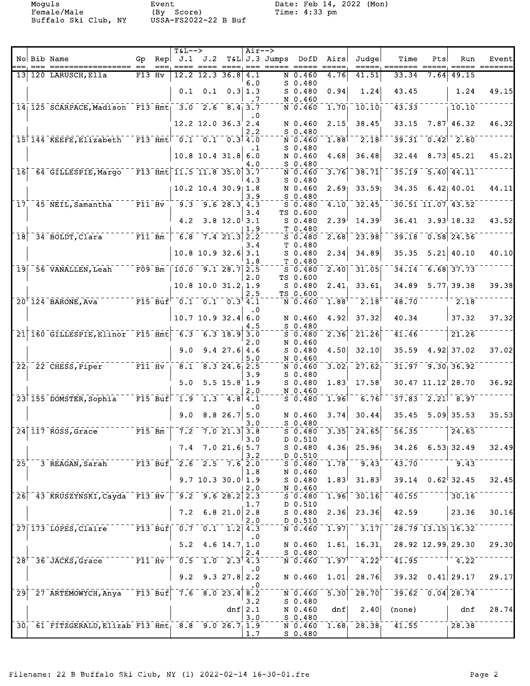Female/Male (By Score) Time: 4:33 pm

Buffalo Ski Club, NY USSA-FS2022-22 B Buf

|                 |                                                                                                                                                                                                                                                                                                                                                       |        | $T&L-->$                                                                                                                                    |                                                                      |                                                    | $Air--$          |                    |                                                                |                            |                                                                                                                         |                                                      |      |                                      |       |
|-----------------|-------------------------------------------------------------------------------------------------------------------------------------------------------------------------------------------------------------------------------------------------------------------------------------------------------------------------------------------------------|--------|---------------------------------------------------------------------------------------------------------------------------------------------|----------------------------------------------------------------------|----------------------------------------------------|------------------|--------------------|----------------------------------------------------------------|----------------------------|-------------------------------------------------------------------------------------------------------------------------|------------------------------------------------------|------|--------------------------------------|-------|
|                 | No Bib Name                                                                                                                                                                                                                                                                                                                                           |        |                                                                                                                                             | Gp Rep $J.1$ $J.2$                                                   |                                                    |                  | T&L J.3 Jumps DofD |                                                                | Airs                       | Judge                                                                                                                   | Time                                                 | Pts  | Run                                  | Event |
|                 | 13 120 LARUSCH, Ella                                                                                                                                                                                                                                                                                                                                  | F13 Hv |                                                                                                                                             | $12.2$ 12.3 36.8 4.1                                                 |                                                    |                  |                    | N 0.460                                                        | 4.76                       | 41.51                                                                                                                   | 33.34                                                | 7.64 | 49.15                                |       |
|                 |                                                                                                                                                                                                                                                                                                                                                       |        | 0.1                                                                                                                                         |                                                                      | $0.1 \quad 0.3 \mid 1.3$                           | 6.0              |                    | $S$ 0.480<br>$S$ 0.480                                         | 0.94                       | 1.24                                                                                                                    | 43.45                                                |      | 1.24                                 | 49.15 |
|                 | 14 125 SCARPACE, Madison F13 Hmt 3.0 2.6 8.4 3.7                                                                                                                                                                                                                                                                                                      |        |                                                                                                                                             |                                                                      |                                                    | .7               |                    | N 0.460<br>$\bar{N}$ $\bar{0}$ $\bar{4}$ $\bar{6}$ $\bar{0}$   | $1.70$ <sub>1</sub>        | $\bar{10}.\bar{10}$                                                                                                     | 43.33                                                |      | 10.10                                |       |
|                 |                                                                                                                                                                                                                                                                                                                                                       |        |                                                                                                                                             | $12.2$ 12.0 36.3 2.4                                                 |                                                    | . 0              |                    | N 0.460                                                        | 2.15                       | 38.45                                                                                                                   | 33.15                                                |      | $7.87$ 46.32                         | 46.32 |
|                 | 15 144 KEEFE, Elizabeth                                                                                                                                                                                                                                                                                                                               |        |                                                                                                                                             | $-$ F13 Hmt $-$ 0.1 $-$ 0.1 $-$ 0.3 4.0                              |                                                    | 2.2              |                    | $S$ 0.480<br>N 0.460                                           | 1.88                       | $\overline{2.18}$                                                                                                       |                                                      |      | $39.31 - 0.42$ $2.60$                |       |
|                 |                                                                                                                                                                                                                                                                                                                                                       |        |                                                                                                                                             | $10.8$ 10.4 31.8                                                     |                                                    | $\cdot$ 1<br>6.0 |                    | $S$ 0.480<br>N 0.460                                           | 4.68                       | 36.48                                                                                                                   | 32.44                                                |      | $8.73$ 45.21                         | 45.21 |
|                 |                                                                                                                                                                                                                                                                                                                                                       |        |                                                                                                                                             | $\bar{F}$ 13 Amt 11.5 11.8 35.0 3.7                                  |                                                    | 4.O              |                    | $S$ 0.480                                                      |                            |                                                                                                                         |                                                      |      | $\overline{5.40}$ $\overline{44.11}$ |       |
|                 | 16 64 GILLESPIE, Margo                                                                                                                                                                                                                                                                                                                                |        |                                                                                                                                             |                                                                      |                                                    | 4.3              |                    | $\bar{N}$ $\bar{0}$ $\bar{4}$ $\bar{6}$ $\bar{0}$<br>$S$ 0.480 | 3.76                       | $-38.71$                                                                                                                | 35.19                                                |      |                                      |       |
|                 |                                                                                                                                                                                                                                                                                                                                                       |        |                                                                                                                                             | $10.2$ 10.4 30.9 1.8                                                 |                                                    | 3.9              |                    | N 0.460<br>$S$ 0.480                                           |                            | $2.69$ 33.59                                                                                                            |                                                      |      | 34.35 6.42 40.01                     | 44.11 |
|                 | $17^{\circ}$ 45 NEIL, Samantha $17^{\circ}$ F11 $Hv$                                                                                                                                                                                                                                                                                                  |        |                                                                                                                                             | $-9.3 - 9.6 28.3 4.3$                                                |                                                    | 3.4              |                    | $S = 0.480$<br>TS 0.600                                        | 4.10                       | 32.45                                                                                                                   |                                                      |      | 30.51 11.07 43.52                    |       |
|                 |                                                                                                                                                                                                                                                                                                                                                       |        | 4.2                                                                                                                                         |                                                                      | $3.8$ 12.0 3.1                                     | 1.9              |                    | $S$ 0.480<br>T 0.480                                           | 2.39 <sup>1</sup>          | 14.39                                                                                                                   |                                                      |      | $36.41$ $3.93$ 18.32                 | 43.52 |
| $\overline{18}$ | <sup>34</sup> BOLDT, Clara F11 Bm                                                                                                                                                                                                                                                                                                                     |        | $\sqrt{6.8}$                                                                                                                                |                                                                      | 7.421.322.2                                        | 3.4              |                    | $5 - 0.480$<br>T 0.480                                         | 2.68                       | 23.98                                                                                                                   | 39.18                                                |      | $\overline{0.58}$ 24.56              |       |
|                 |                                                                                                                                                                                                                                                                                                                                                       |        |                                                                                                                                             | $10.8$ 10.9 32.6 3.1                                                 |                                                    | 1.8              |                    | $S_0.480$<br>T 0.480                                           | 2.34                       | 34.89                                                                                                                   | 35.35                                                |      | $5.21 \, 40.10$                      | 40.10 |
|                 | 19 56 VANALLEN, Leah F09 Bm   10.0 9.1 28.7 2.5                                                                                                                                                                                                                                                                                                       |        |                                                                                                                                             |                                                                      |                                                    |                  |                    | $S = 0.480$                                                    | $\overline{2.40}$          | 31.05                                                                                                                   |                                                      |      | $34.14 - 6.68$ 37.73                 |       |
|                 |                                                                                                                                                                                                                                                                                                                                                       |        |                                                                                                                                             | $10.8$ 10.0 31.2 1.9                                                 |                                                    | 2.0              |                    | TS 0.600<br>$S_0.480$                                          | 2.41 <sub>1</sub>          | 33.61                                                                                                                   | 34.89                                                |      | 5.77, 39.38                          | 39.38 |
|                 | $\frac{1}{2}$ $\frac{1}{2}$ $\frac{1}{2}$ $\frac{1}{2}$ $\frac{1}{2}$ $\frac{1}{2}$ $\frac{1}{2}$ $\frac{1}{2}$ $\frac{1}{2}$ $\frac{1}{2}$ $\frac{1}{2}$ $\frac{1}{2}$ $\frac{1}{2}$ $\frac{1}{2}$ $\frac{1}{2}$ $\frac{1}{2}$ $\frac{1}{2}$ $\frac{1}{2}$ $\frac{1}{2}$ $\frac{1}{2}$ $\frac{1}{2}$ $\frac{1}{2}$<br>$20^{\dagger}$ 124 BARONE, Ava |        |                                                                                                                                             |                                                                      |                                                    | 2.5              |                    | TS 0.600<br>$\bar{N}$ 0.460                                    | $\bar{1}.\bar{8}8^\dagger$ | $\bar{2}.\bar{1}8$                                                                                                      | $\bar{48.70}$                                        |      | $^{-2.18}$                           |       |
|                 |                                                                                                                                                                                                                                                                                                                                                       |        |                                                                                                                                             | $10.7$ 10.9 32.4 6.0                                                 |                                                    | . 0              |                    | N 0.460                                                        | 4.92                       | 37.32                                                                                                                   | 40.34                                                |      | 37.32                                | 37.32 |
|                 | 21 160 GILLESPIE, Elinor F15 Hmt 6.3 6.3 18.9 3.0                                                                                                                                                                                                                                                                                                     |        |                                                                                                                                             |                                                                      |                                                    | 4.5              |                    | $S$ 0.480<br>$S = 0.480$                                       |                            | $\overline{2.36}$ <sup>-</sup> $\overline{21.26}$                                                                       | 41.46                                                |      | 21.26                                |       |
|                 |                                                                                                                                                                                                                                                                                                                                                       |        | 9.0                                                                                                                                         |                                                                      | $9.4$ 27.6 4.6                                     | 2.0              |                    | N 0.460<br>$S$ 0.480                                           |                            | $4.50$ 32.10                                                                                                            | 35.59                                                |      | $4.92$ 37.02                         | 37.02 |
|                 | $\overline{22}$ $\overline{22}$ $\overline{CHESS, Piper}$ $\overline{F11} \overline{Hv}$                                                                                                                                                                                                                                                              |        |                                                                                                                                             | $\overline{8.1}$ $\overline{8.3}$ $\overline{24.6}$ $\overline{2.5}$ |                                                    | 5.0              |                    | N 0.460                                                        | $3.02^{-}$                 | $-27.62$                                                                                                                |                                                      |      | $31.97 - 9.30$ 36.92                 |       |
|                 |                                                                                                                                                                                                                                                                                                                                                       |        |                                                                                                                                             |                                                                      |                                                    | 3.9              |                    | $N = 0.460$<br>$S_0.480$                                       |                            |                                                                                                                         |                                                      |      |                                      |       |
|                 |                                                                                                                                                                                                                                                                                                                                                       |        | 5.0                                                                                                                                         |                                                                      | $5.5$ $15.8$ $1.9$                                 | 2.0              |                    | $S$ 0.480<br>N 0.460                                           | 1.83'                      | 17.58                                                                                                                   |                                                      |      | 30.47 11.12 28.70                    | 36.92 |
|                 | $23$ $155$ DOMSTER, Sophia                                                                                                                                                                                                                                                                                                                            |        | $\bar{r}$ $\bar{r}$ $\bar{1}$ $\bar{5}$ $\bar{r}$ $\bar{8}$ $\bar{u}$ $\bar{f}$ $\bar{f}$ $\bar{f}$ $\bar{1}$ $\bar{.}$ $\bar{9}$ $\bar{5}$ |                                                                      | $\overline{1.3}$ $\overline{4.8}$ $\overline{4.1}$ | $\cdot$ 0        |                    | $5 - 0.480$                                                    | $\bar{1.96}$               | 6.76                                                                                                                    |                                                      |      | $37.83 - 2.21$ 8.97                  |       |
|                 |                                                                                                                                                                                                                                                                                                                                                       |        |                                                                                                                                             | $9.0$ 8.8 26.7                                                       |                                                    | 5.0<br>3.0       |                    | N 0.460<br>$S$ 0.480                                           | 3.74                       | 30.44                                                                                                                   |                                                      |      | $35.45$ $5.09$ 35.53                 | 35.53 |
|                 | $\lceil 24 \rceil$ 117 ROSS, Grace $\lceil 7.2 \rceil$ 7.2 $\lceil 7.0 \rceil$ 21.3 3.8                                                                                                                                                                                                                                                               |        |                                                                                                                                             |                                                                      |                                                    | 3.0              |                    | $\overline{S}$ 0.480<br>D 0.510                                |                            | $\left\lceil \left\lceil \frac{1}{3.35} \right\rceil \left\lceil \left\lceil \frac{1}{24.65} \right\rceil \right\rceil$ | 56.35                                                |      | $\frac{1}{24.65}$                    |       |
|                 |                                                                                                                                                                                                                                                                                                                                                       |        |                                                                                                                                             | $7.4$ $7.0$ $21.6$ 5.7                                               |                                                    | 3.2              |                    | $S$ 0.480<br>D 0.510                                           |                            | $4.36$ $25.96$                                                                                                          |                                                      |      | $34.26$ 6.53 32.49                   | 32.49 |
| $\bar{25}$      | 3 REAGAN, Sarah F13 Buf 2.6 2.5 7.6 2.0                                                                                                                                                                                                                                                                                                               |        |                                                                                                                                             |                                                                      |                                                    |                  |                    |                                                                |                            | $S \overline{0.480} \overline{1.78} \overline{0.43}$                                                                    | 43.70                                                |      | $-9.43$                              |       |
|                 |                                                                                                                                                                                                                                                                                                                                                       |        |                                                                                                                                             | $9.7$ 10.3 30.0 1.9                                                  |                                                    | 1.8              |                    | N 0.460<br>S 0.480                                             |                            | $1.83$ $31.83$                                                                                                          |                                                      |      | $39.14 \quad 0.62$ 32.45             | 32.45 |
|                 | 26 43 KRUSZYNSKI, Cayda F13 Hv   9.2 9.6 28.2 2.3                                                                                                                                                                                                                                                                                                     |        |                                                                                                                                             |                                                                      |                                                    | 2.0              |                    | N.0.460                                                        |                            | $50.480 - 1.96 - 30.16$                                                                                                 | 40.55                                                |      | 30.16                                |       |
|                 |                                                                                                                                                                                                                                                                                                                                                       |        |                                                                                                                                             | $7.2 \quad 6.8 \quad 21.0 \quad 2.8$                                 |                                                    | 1.7              |                    | D 0.510                                                        |                            | $S$ 0.480 2.36 23.36                                                                                                    | 42.59                                                |      | 23.36                                | 30.16 |
|                 | 27 173 LOPES, Claire F13 Buf 0.7 0.1 1.2 4.3                                                                                                                                                                                                                                                                                                          |        |                                                                                                                                             |                                                                      |                                                    | 2.0              |                    | D 0.510<br>$\bar{N}$ $\bar{0}$ .460                            |                            | $\overline{1.97}$ <sup>--</sup> 3.17                                                                                    |                                                      |      | $\sqrt{28.79}$ 13.15 16.32           |       |
|                 |                                                                                                                                                                                                                                                                                                                                                       |        |                                                                                                                                             | $5.2 \quad 4.6 \quad 14.7 \quad 1.0$                                 |                                                    | .0               |                    | N 0.460                                                        |                            | 1.61, 16.31,                                                                                                            |                                                      |      | 28.92 12.99 29.30                    | 29.30 |
|                 | $128^{+}$ 36 JACKS, Grace $11 \text{ Hz}$ $-10.5$ 1.0 $2.3^{+}$ $\frac{1}{4}$ ; 3                                                                                                                                                                                                                                                                     |        |                                                                                                                                             |                                                                      |                                                    | 2.4              |                    | $S_0.480$                                                      |                            | $\bar{N}$ 0.460 $\bar{1}$ .97 <sup>1</sup> $\bar{4}$ .22 <sup>1</sup>                                                   |                                                      |      | $41.95$ $7.22$                       |       |
|                 |                                                                                                                                                                                                                                                                                                                                                       |        |                                                                                                                                             |                                                                      |                                                    | $\cdot$ 0        |                    |                                                                |                            |                                                                                                                         |                                                      |      |                                      |       |
|                 |                                                                                                                                                                                                                                                                                                                                                       |        | 9.2                                                                                                                                         |                                                                      | $9.3$ 27.8 2.2                                     |                  |                    | N 0.460                                                        |                            | $1.01$ 28.76                                                                                                            |                                                      |      | $39.32 \quad 0.41$ 29.17             | 29.17 |
|                 | 29 27 ARTEMOWYCH, Anya F13 Buf 7.6 8.0 23.4 8.2                                                                                                                                                                                                                                                                                                       |        |                                                                                                                                             |                                                                      |                                                    | 3.2              |                    | $-\overline{N}$ $\overline{0}$ $\overline{.}$ 460<br>$S_0.480$ |                            | $\overline{5.30}$   28.70                                                                                               |                                                      |      | $39.62 - 0.04$ 28.74                 |       |
|                 |                                                                                                                                                                                                                                                                                                                                                       |        |                                                                                                                                             |                                                                      |                                                    | dnf $2.1$<br>3.0 |                    | N 0.460<br>S 0.480                                             | dnf                        | 2.40                                                                                                                    | (none)                                               |      | dnf                                  | 28.74 |
|                 | 30 61 FITZGERALD, Elizab F13 Hmt 8.8 9.0 26.7 1.9                                                                                                                                                                                                                                                                                                     |        |                                                                                                                                             |                                                                      |                                                    | 1.7              |                    | $S_0.480$                                                      |                            |                                                                                                                         | $\overline{N}$ 0.460 1.68 28.38 $\overline{38}$ 1.55 |      |                                      |       |
|                 |                                                                                                                                                                                                                                                                                                                                                       |        |                                                                                                                                             |                                                                      |                                                    |                  |                    |                                                                |                            |                                                                                                                         |                                                      |      |                                      |       |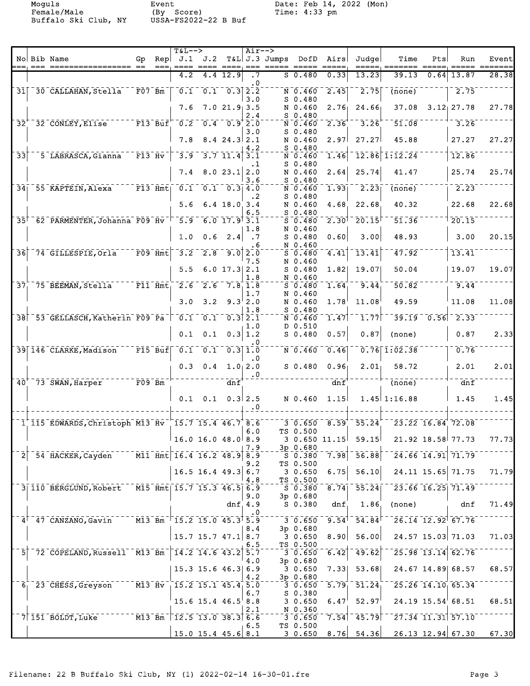|                            |                                                                                                          |                                      |     | $T&L--&>$                                                                         |                        |                                                     | $Air--$                       |                |                        |                     |                                                                  |                                                                                               |                   |                                              |       |
|----------------------------|----------------------------------------------------------------------------------------------------------|--------------------------------------|-----|-----------------------------------------------------------------------------------|------------------------|-----------------------------------------------------|-------------------------------|----------------|------------------------|---------------------|------------------------------------------------------------------|-----------------------------------------------------------------------------------------------|-------------------|----------------------------------------------|-------|
|                            | No Bib Name                                                                                              | Gp                                   | Rep |                                                                                   | J.1 J.2                |                                                     |                               | T&L  J.3 Jumps | DofD                   | Airs                | Judge                                                            | Time                                                                                          | Pts               | Run                                          | Event |
|                            |                                                                                                          |                                      |     | 4.2                                                                               |                        | 4.4 12.9                                            | $\cdot$ 7                     |                | $S$ 0.480              | 0.33                | 13.23                                                            | 39.13                                                                                         | $\overline{0.64}$ | 13.87                                        | 28.38 |
| $\overline{31}$            | 30 CALLAHAN, Stella                                                                                      | $-\bar{F}07-\bar{B}\bar{m}$          |     | $\bar{\mathfrak{o}}$ .i                                                           |                        | $\overline{0.1}$ $\overline{0.3}$ $\overline{2.2}$  | $\cdot$ 0                     |                | N 0.460                | 2.45                | $\left  2.75 \right $                                            | (none)                                                                                        |                   | 2.75                                         |       |
|                            |                                                                                                          |                                      |     | 7.6                                                                               |                        | 7.021.93.5                                          | 3.0                           |                | $S$ 0.480<br>N 0.460   | 2.76                | 24.66                                                            | 37.08                                                                                         |                   | $3.12$ 27.78                                 | 27.78 |
|                            |                                                                                                          |                                      |     |                                                                                   |                        |                                                     | 2.4                           |                | $S$ 0.480              |                     |                                                                  |                                                                                               |                   |                                              |       |
| $\bar{3}\bar{2}$           | 32 CONLEY, Elise F13 Buf 0.2 0.4 0.9 2.0                                                                 |                                      |     |                                                                                   |                        |                                                     | 3.0                           |                | N 0.460<br>$S_0.480$   | 2.36                | 3.26                                                             | 51.08                                                                                         |                   | 3.26                                         |       |
|                            |                                                                                                          |                                      |     | 7.8                                                                               |                        | $8.4$ 24.3 2.1                                      | 4.2                           |                | N 0.460<br>$S$ 0.480   | 2.97                | 27.27                                                            | 45.88                                                                                         |                   | 27.27                                        | 27.27 |
| $\overline{3}\overline{3}$ | 5 LABRASCA, Gianna                                                                                       | $\overline{F13}$ $\overline{Hv}$     |     | $\overline{3.9}$                                                                  |                        | $\overline{3.7}$ $\overline{11.4}$ $\overline{3.1}$ |                               |                | N 0.460                | 1.46                |                                                                  | $12.86$ $1:12.24$                                                                             |                   | 12.86                                        |       |
|                            |                                                                                                          |                                      |     | 7.4                                                                               |                        | 8.023.12.0                                          | .1                            |                | $S_0.480$<br>N 0.460   | 2.64                | 25.74                                                            | 41.47                                                                                         |                   | 25.74                                        | 25.74 |
|                            | $34$ <sup><math>-55</math></sup> KAPTEIN, Alexa <sup>---</sup>                                           |                                      |     | $F13$ $Hmt$ $0.1$ $0.1$ $0.3$ $4.0$                                               |                        |                                                     | 3.6                           |                | $S$ 0.480<br>N 0.460   | 1.93                | 2.23                                                             | $\overline{(\text{none})}$                                                                    |                   | 2.23                                         |       |
|                            |                                                                                                          |                                      |     | 5.6                                                                               |                        | $6.4$ 18.0 3.4                                      | . 2                           |                | $S$ 0.480<br>N 0.460   | 4.68                | 22.68                                                            | 40.32                                                                                         |                   | 22.68                                        | 22.68 |
|                            |                                                                                                          |                                      |     |                                                                                   |                        |                                                     | 6.5                           |                | $S$ 0.480              |                     |                                                                  |                                                                                               |                   |                                              |       |
|                            | 35 <sup>+</sup> 62 PARMENTER, Johanna F09 Hv <sup>-<math>\mid</math></sup> 5.9 6.0 17.9 <sup>1</sup> 3.1 |                                      |     |                                                                                   |                        |                                                     | 1.8                           |                | $S$ 0.480<br>N 0.460   | $2.30$ <sup>1</sup> | 20.15                                                            | 51.36                                                                                         |                   | 20.15                                        |       |
|                            |                                                                                                          |                                      |     | 1.0                                                                               | 0.6                    | 2.4                                                 | $\cdot$ . 7<br>. 6            |                | $S$ 0.480<br>N 0.460   | 0.60                | 3.00                                                             | 48.93                                                                                         |                   | 3.00                                         | 20.15 |
|                            | 36 74 GILLESPIE, Orla                                                                                    | $\bar{F}09$ $\bar{H}$ mt             |     | $\overline{3.2}$                                                                  | $\overline{2.8}$       |                                                     | $9.0$   $2.0$                 |                | $S$ 0.480              | 4.41                | 13.41                                                            | 47.92                                                                                         |                   | 13.41                                        |       |
|                            |                                                                                                          |                                      |     | 5.5                                                                               |                        | $6.0$ 17.3 2.1                                      | 7.5                           |                | N 0.460<br>$S_0.480$   | 1.82                | 19.07                                                            | 50.04                                                                                         |                   | 19.07                                        | 19.07 |
| 37 <sub>1</sub>            | $75$ BEEMAN, Stella $175$ F11 Hmt, $2.6$ $2.6$ $7.8$ 1.8                                                 |                                      |     |                                                                                   |                        |                                                     | 1.8                           |                | N 0.460<br>$S = 0.480$ | 1.64                | 9.44                                                             | 50.82                                                                                         |                   | 9.44                                         |       |
|                            |                                                                                                          |                                      |     | 3.0                                                                               | 3.2                    |                                                     | 1.7<br>$9.3^{+}2.0$           |                | N 0.460<br>N 0.460     | 1.78                | 11.08                                                            | 49.59                                                                                         |                   | 11.08                                        | 11.08 |
|                            |                                                                                                          |                                      |     |                                                                                   |                        |                                                     | 1.8                           |                | $S$ 0.480              |                     |                                                                  |                                                                                               |                   |                                              |       |
|                            | 38 53 GELLASCH, Katherin F09 Pa 70.1                                                                     |                                      |     |                                                                                   | $\overline{0.1}$       |                                                     | $0.3$ $\overline{2.1}$<br>1.0 |                | $N = 0.460$<br>D 0.510 | $\overline{1.47}$   | 1.77                                                             | $\overline{39.19}$                                                                            |                   | $\overline{0.56}$ $\overline{2.33}$          |       |
|                            |                                                                                                          |                                      |     | 0.1                                                                               | 0.1                    |                                                     | 0.3 1.2                       |                | $S_0.480$              | 0.57                | 0.87                                                             | (none)                                                                                        |                   | 0.87                                         | 2.33  |
|                            | 39 146 CLARKE, Madison                                                                                   |                                      |     | $\sqrt{15}$ $\overline{B}$ uf $\sqrt{0.1}$ $\sqrt{0.1}$ $\sqrt{0.3}$ $\sqrt{1.0}$ |                        |                                                     |                               |                | $N = 0.460$            | 0.46                |                                                                  | $0.76$ $1.02.38$                                                                              |                   | 0.76                                         |       |
|                            |                                                                                                          |                                      |     | 0.3                                                                               | 0.4                    | 1.0, 2.0                                            | $\cdot$ 0                     |                | $S_0.480$              | 0.96                | 2.01                                                             | 58.72                                                                                         |                   | 2.01                                         | 2.01  |
|                            | $40+-73-SWAN, Harper$                                                                                    | $^{-}$ $\bar{F}$ 09 $^{-}$ Bm $^{-}$ |     |                                                                                   |                        | $\bar{d}n\bar{f}$                                   | $\cdot$ 0                     |                |                        | dnf                 |                                                                  | $\overline{(\text{none})}$                                                                    |                   | $\overline{dnf}$                             |       |
|                            |                                                                                                          |                                      |     | 0.1                                                                               | 0.1                    |                                                     | $0.3$ 2.5                     |                | N 0.460                | 1.15                |                                                                  | $1.45$ 1:16.88                                                                                |                   | 1.45                                         | 1.45  |
|                            |                                                                                                          |                                      |     |                                                                                   |                        |                                                     | $\cdot$ .0                    |                |                        |                     |                                                                  |                                                                                               |                   |                                              |       |
|                            | 1 115 EDWARDS, Christoph M13 Hv 15.7 15.4 46.7 8.6                                                       |                                      |     |                                                                                   |                        |                                                     |                               |                |                        |                     |                                                                  | $3\quad 0.650 \quad 8.59 \quad 55.24 \quad 23.22 \quad 16.84 \quad 72.08$                     |                   |                                              |       |
|                            |                                                                                                          |                                      |     | $16.0$ 16.0 48.0 8.9                                                              |                        |                                                     | 6.0                           |                | TS 0.500               |                     | $30.65011.15$ $59.15$                                            |                                                                                               |                   | 21.92 18.58 77.73                            | 77.73 |
|                            | $\overline{2}$ <sup>-</sup> 54 HACKER, Cayden <sup>----</sup> M11 Hmt 16.4 16.2 48.9 8.5                 |                                      |     |                                                                                   |                        |                                                     | 7.9                           |                | 3p 0.680               |                     |                                                                  | $7.98$ $56.88$ $-24.66$ $14.91$ $71.79$                                                       |                   |                                              |       |
|                            |                                                                                                          |                                      |     |                                                                                   |                        |                                                     | 9.2                           |                | $-5 - 380$<br>TS 0.500 |                     |                                                                  |                                                                                               |                   |                                              |       |
|                            |                                                                                                          |                                      |     |                                                                                   | $16.5$ 16.4 49.3 6.7   |                                                     | 4.8                           |                | 3 0.650<br>TS 0.500    | 6.75                | 56.10                                                            |                                                                                               |                   | $24.11$ 15.65 71.75                          | 71.79 |
|                            | 3 110 BERGLUND, Robert M15 Hmt 15.7 15.3 46.5 6.9                                                        |                                      |     |                                                                                   |                        |                                                     | 9.0                           |                | 3p 0.680               |                     | $\sqrt{50.380}$ $\sqrt{8.74}$ $\sqrt{55.24}$                     |                                                                                               |                   | $\sqrt{23.66}$ 16.25 71.49                   |       |
|                            |                                                                                                          |                                      |     |                                                                                   |                        |                                                     | dnf $4.9$                     |                | S 0.380                | dnf                 | 1.86                                                             | (none)                                                                                        |                   | dnf                                          | 71.49 |
|                            | $4^{\dagger}$ 47 CANZANO, Gavin $13$ Bm <sup>-<math>+</math></sup> 15.2 15.0 45.3 <sup>+</sup> 5.9       |                                      |     |                                                                                   |                        |                                                     | . 0                           |                | $-3 - 0.650$           |                     | $\overline{9.54}^{\dagger\, -} \,\overline{54.84}^{\dagger\, -}$ |                                                                                               |                   | $\sqrt{26.14}$ $\sqrt{12.92}$ $\sqrt{67.76}$ |       |
|                            |                                                                                                          |                                      |     |                                                                                   | $15.7$ 15.7 47.1 8.7   |                                                     | 8.4                           |                | 3p 0.680<br>30.650     | 8.90                | 56.00                                                            | 24.57 15.03 71.03                                                                             |                   |                                              | 71.03 |
|                            |                                                                                                          |                                      |     |                                                                                   |                        |                                                     | 6.5                           |                | TS 0.500               |                     |                                                                  |                                                                                               |                   |                                              |       |
|                            | 5 72 COPELAND, Russell M13 Bm 14.2 14.6 43.2 5.7                                                         |                                      |     |                                                                                   |                        |                                                     | 4.0                           |                | 3 0.650<br>3p 0.680    | 6.42                |                                                                  | $149.62$ <sup>--</sup> 25.98 13.14 62.76                                                      |                   |                                              |       |
|                            |                                                                                                          |                                      |     | $15.3$ 15.6 46.3 6.9                                                              |                        |                                                     | 4.2                           |                | 3 0.650<br>3p 0.680    |                     |                                                                  | 7.33 53.68 24.67 14.89 68.57                                                                  |                   |                                              | 68.57 |
|                            | $6 - 23$ CHESS, Greyson $M3$ Hv $15.2$ 15.1 45.4 5.0                                                     |                                      |     |                                                                                   |                        |                                                     |                               |                | $3\overline{0.650}$    |                     |                                                                  | $\overline{5.79}$ $\overline{51.24}$ $\overline{25.26}$ $\overline{14.10}$ $\overline{65.34}$ |                   |                                              |       |
|                            |                                                                                                          |                                      |     |                                                                                   | $15.6$ 15.4 $46.5$ 8.8 |                                                     | 6.7                           |                | $S$ 0.380<br>3 0.650   | 6.47                | 52.97                                                            |                                                                                               |                   | $24.19$ $15.54$ 68.51                        | 68.51 |
|                            | $7 151$ BOLDT, Luke $M3$ Bm $12.5$ 13.0 38.3 6.6                                                         |                                      |     |                                                                                   |                        |                                                     | 2.1                           |                | N 0.360<br>3 0.650     |                     |                                                                  | $7.54$ <sup>-</sup> $45.79$ <sup>--</sup> 27.34 11.31 57.10                                   |                   |                                              |       |
|                            |                                                                                                          |                                      |     | $15.0$ 15.4 45.6 8.1                                                              |                        |                                                     | 6.5                           |                | TS 0.500               |                     |                                                                  | $3.0.650 \quad 8.76 \quad 54.36 \quad 26.13 \quad 12.94 \quad 67.30 \quad 67.30$              |                   |                                              |       |
|                            |                                                                                                          |                                      |     |                                                                                   |                        |                                                     |                               |                |                        |                     |                                                                  |                                                                                               |                   |                                              |       |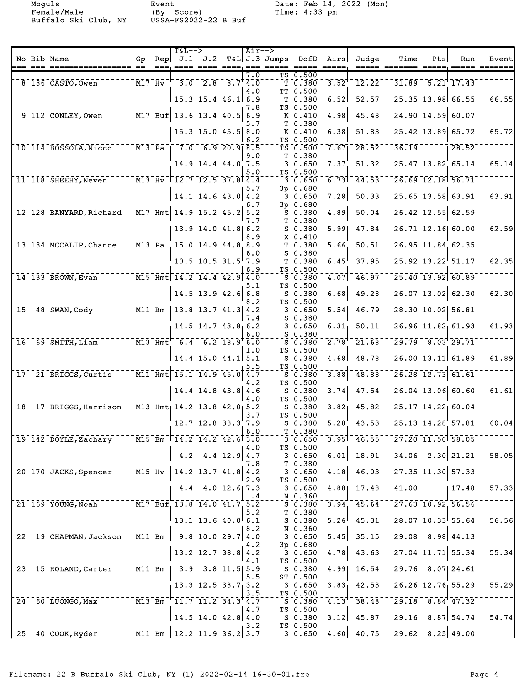|  |                                                                                   |      | $T&L-->$                                                                                                               |                            |             | $Air--$    |                    |                                                           |                             |                                          |                                                                                 |     |                                                                    |                          |
|--|-----------------------------------------------------------------------------------|------|------------------------------------------------------------------------------------------------------------------------|----------------------------|-------------|------------|--------------------|-----------------------------------------------------------|-----------------------------|------------------------------------------|---------------------------------------------------------------------------------|-----|--------------------------------------------------------------------|--------------------------|
|  | No Bib Name                                                                       | $==$ | Gp Rep $J.1$ $J.2$                                                                                                     |                            | ___________ |            | T&L J.3 Jumps DofD |                                                           | Airs<br>$=$ $=$ $=$ $=$ $=$ | Judgel                                   | Time<br>=====, ======= =====,                                                   | Pts | Run                                                                | Event                    |
|  | $--- \overline{M17} - \overline{Hv}$<br>$8'$ 136 CASTO, Owen                      |      |                                                                                                                        | $-3.0$ $-2.8$ $-8.7$ $4.0$ |             | 7.0        |                    | TS 0.500<br>$\bar{\tau}$ $\bar{0}$ .380 $\bar{\tau}$      |                             | $3.52^{+}$ $12.22^{+}$                   |                                                                                 |     | $31.89 - 5.21$ 17.43                                               |                          |
|  |                                                                                   |      |                                                                                                                        | $15.3$ 15.4 46.1 6.9       |             | 4.0        |                    | TT 0.500<br>T <sub>0.380</sub>                            | 6.52                        | 52.57                                    |                                                                                 |     | 25.35 13.98 66.55                                                  | 66.55                    |
|  | $9 112$ CONLEY, Owen $17$ Buf 13.6 13.4 40.5 6.9                                  |      |                                                                                                                        |                            |             | 7.8        |                    | TS 0.500<br>$K \overline{0.410}$                          | $\left[4.98\right]$         | 45.48                                    |                                                                                 |     | $\sqrt{24.90}$ $\sqrt{14.59}$ 60.07                                |                          |
|  |                                                                                   |      |                                                                                                                        | $15.3$ 15.0 45.5 8.0       |             | 5.7        |                    | T 0.380<br>K 0.410                                        | 6.38                        | 51.83                                    |                                                                                 |     | 25.42 13.89 65.72                                                  | 65.72                    |
|  | 10 114 BOSSOLA, Nicco M13 Pa   7.0 6.9 20.9 8.5                                   |      |                                                                                                                        |                            |             | 6.2        |                    | TS 0.500<br>TS 0.500                                      |                             | $7.67$ <sup>-28.52</sup>                 | 36.19                                                                           |     | $-28.52$                                                           |                          |
|  |                                                                                   |      |                                                                                                                        | $14.9$ 14.4 44.0 7.5       |             | 9.0<br>5.0 |                    | T 0.380<br>30.650<br>TS 0.500                             | 7.37                        | 51.32                                    |                                                                                 |     | 25.47 13.82 65.14                                                  | 65.14                    |
|  | $11^{\dagger}$ 118 SHEEHY, Neven $13^{\dagger}$ Hv $12.7$ 12.5 37.8 4.4           |      |                                                                                                                        |                            |             | 5.7        |                    | 30.650<br>3p 0.680                                        |                             | $6.73$ <sup>-</sup> $44.53$              |                                                                                 |     | $\sqrt{26.69}$ $\sqrt{12.18}$ $\sqrt{56.71}$                       |                          |
|  |                                                                                   |      |                                                                                                                        | $14.1$ 14.6 43.0 4.2       |             | 6.7        |                    | 3 0.650<br>3p 0.680                                       | 7.28                        | 50.33                                    |                                                                                 |     | $25.65$ 13.58 63.91                                                | 63.91                    |
|  | 12 128 BANYARD, Richard M17 Hmt 14.9 15.2 45.2 5.2                                |      |                                                                                                                        |                            |             | 7.7        |                    | S 0.380<br>T 0.380                                        | 4.89                        | $-50.04$                                 |                                                                                 |     | $\sqrt{26.42}$ 12.55 62.59                                         |                          |
|  |                                                                                   |      |                                                                                                                        | 13.9 14.0 41.8 6.2         |             | 8.9        |                    | $S$ 0.380<br>X 0.410                                      | 5.99                        | 47.84                                    |                                                                                 |     | 26.71 12.16 60.00                                                  | 62.59                    |
|  | $13^{\degree}$ 134 $\overline{\text{MCCALIP}}$ , Chance                           |      | $\overline{M13}$ Pa 15.0 14.9 44.8 8.9                                                                                 |                            |             | 6.0        |                    | $\bar{T}$ $\bar{0}$ .380 $\bar{0}$<br>S 0.380             |                             | $\overline{5.66}$ $\overline{50.51}$     |                                                                                 |     | 26.95 11.84 62.35                                                  |                          |
|  |                                                                                   |      | $\frac{1}{10.5}$ 10.5 31.5 7.9                                                                                         |                            |             | 6.9        |                    | T 0.380<br>TS 0.500                                       | 6.45                        | 37.95                                    |                                                                                 |     | $25.92$ 13.22 51.17                                                | 62.35                    |
|  | 14 133 BROWN, Evan M15 Hmt 14.2 14.4 42.9 4.0                                     |      |                                                                                                                        |                            |             | 5.1        |                    | 50.380<br>TS 0.500                                        |                             | $\left[4.07\right]$ $\left[46.97\right]$ |                                                                                 |     | $\sqrt{25.40}$ $\sqrt{13.92}$ $\sqrt{60.89}$                       |                          |
|  |                                                                                   |      |                                                                                                                        | $14.5$ 13.9 42.6 6.8       |             | 8.2        |                    | S 0.380<br>TS 0.500                                       | 6.68                        | 49.28                                    |                                                                                 |     | $26.07$ 13.02 62.30                                                | 62.30                    |
|  | 15 48 SWAN, Cody 77 M11 Bm 13.8 13.7 41.3 4.2                                     |      |                                                                                                                        |                            |             | 7.4        |                    | $\bar{3}\bar{0}\bar{.}\bar{6}\bar{5}\bar{0}$<br>$S$ 0.380 |                             | $\overline{5.54}$ $\overline{46.79}$     |                                                                                 |     | $\sqrt{28.30}$ $\sqrt{10.02}$ $\sqrt{56.81}$                       |                          |
|  |                                                                                   |      |                                                                                                                        | $14.5$ 14.7 $43.8$ 6.2     |             | 6.0        |                    | 30.650<br>$S_0.380$                                       | $6.31_1$                    | 50.11                                    |                                                                                 |     | $26.96$ 11.82 61.93                                                | 61.93                    |
|  | $16^+$ 69 SMITH, Liam $10^+$ M13 Hmt $-6.4$ 6.2 18.9 6.0                          |      |                                                                                                                        | $14.4$ 15.0 $44.1$ 5.1     |             | 1.0        |                    | $S = 0.380$<br>TS 0.500                                   | 2.78                        | $21.68$ <sup>t</sup><br>48.78            |                                                                                 |     | $\sqrt{29.79}$ $\sqrt{8.03}$ $\sqrt{29.71}$<br>$26.00$ 13.11 61.89 | 61.89                    |
|  | $17$ <sup>-21-BRIGGS, Curtis M11-Hmt 15.1 14.9 45.0 4.7</sup>                     |      |                                                                                                                        |                            |             | 5.5        |                    | S 0.380<br>TS 0.500<br>$S = 0.380$                        | 4.68<br>3.88                | 48.88                                    |                                                                                 |     | $\sqrt{26.28}$ $\sqrt{12.73}$ $\sqrt{61.61}$                       |                          |
|  |                                                                                   |      |                                                                                                                        | $14.4$ 14.8 43.8 4.6       |             | 4.2        |                    | TS 0.500<br>S 0.380                                       | 3.74                        | 47.54                                    |                                                                                 |     | $26.04$ 13.06 60.60                                                | 61.61                    |
|  | $18 - 17$ BRIGGS, Harrison $M13$ Hmt <sub>1</sub> 14.2 13.8 42.0 <sub>1</sub> 5.2 |      |                                                                                                                        |                            |             | 4.0        |                    | TS 0.500<br>50.380                                        |                             | $3.82$ <sup>-2</sup> $3.82$              |                                                                                 |     | $\overline{25.17}$ $\overline{14.22}$ $\overline{60.04}$           |                          |
|  |                                                                                   |      |                                                                                                                        | $12.7$ 12.8 38.3 7.9       |             | 3.7        |                    | TS 0.500<br>$S$ 0.380                                     | 5.28                        | 43.53                                    |                                                                                 |     | 25.13 14.28 57.81                                                  | 60.04                    |
|  | 19 142 DOYLE, Zachary M15 Bm   14.2 14.2 42.6 3.0 - 3 0.650                       |      |                                                                                                                        |                            |             | 6.0        |                    | T 0.380                                                   |                             |                                          | $-3.95$ <sup>1</sup> $-46.55$ <sup>1</sup> $-27.20$ $-11.50$ <sup>1</sup> 58.05 |     |                                                                    |                          |
|  |                                                                                   |      |                                                                                                                        | 4.2 4.4 12.9 4.7           |             | 4.0        |                    | TS 0.500                                                  | 6.01                        | 18.91                                    |                                                                                 |     | $34.06$ 2.30 21.21                                                 | 58.05                    |
|  | 20 170 JACKS, Spencer M15 Hv 14.2 13.7 41.8 4.2                                   |      |                                                                                                                        |                            |             | 7.8        |                    | 3 0.650<br>T 0.380                                        |                             | $-3.650 - 4.18$ $-46.03$                 | $\frac{-27.35 - 11.30}{57.33}$                                                  |     |                                                                    |                          |
|  |                                                                                   |      |                                                                                                                        | $4.4$ $4.0$ $12.6$ 7.3     |             | 2.9        |                    | TS 0.500                                                  |                             | 3 0.650 4.88 17.48                       | 41.00                                                                           |     | 17.48                                                              | 57.33                    |
|  | $21^{1}$ 169 YOUNG, Noah $17^{1}$ Buf 13.8 14.0 41.7 5.2                          |      |                                                                                                                        |                            |             | $\cdot$ 4  |                    | N 0.360<br>$-50.380$                                      |                             |                                          | $3.94$ <sup>-</sup> $45.64$ <sup>---</sup> 27.63 10.92 56.56                    |     |                                                                    |                          |
|  |                                                                                   |      |                                                                                                                        | $13.1$ 13.6 40.0 6.1       |             | 5.2        |                    | T 0.380<br>S 0.380                                        |                             | $5.26^{1}$ 45.31                         |                                                                                 |     | $28.07$ $10.33$ $55.64$                                            | 56.56                    |
|  | 22 19 CHAPMAN, Jackson M11 Bm 7 9.8 10.0 29.7 4.0                                 |      |                                                                                                                        |                            |             | 8.2        |                    | $\frac{N}{2} - \frac{0.360}{N}$                           |                             |                                          | $-3 - 0.650 - 5.45 - 35.15$ $-29.08 - 8.98$ 44.13                               |     |                                                                    |                          |
|  |                                                                                   |      |                                                                                                                        | 13.2 12.7 38.8 4.2         |             | 4.2<br>4.1 |                    | 3p 0.680<br>TS 0.500                                      |                             | $3$ 0.650 4.78 43.63                     |                                                                                 |     | $27.04$ 11.71 55.34                                                | 55.34                    |
|  | 23 15 ROLAND, Carter M11 Bm   3.9 3.8 11.5 5.9                                    |      |                                                                                                                        |                            |             | 5.5        |                    | ST 0.500                                                  |                             |                                          | $S$ $0.380$ $4.99$ $16.54$ $29.76$ $8.07$ $24.61$                               |     |                                                                    |                          |
|  |                                                                                   |      |                                                                                                                        | 13.3 12.5 38.7 3.2         |             | 3.5        |                    | 3 0.650<br>TS 0.500                                       |                             | $3.83$ , $42.53$                         |                                                                                 |     | $26.26$ $12.76$ 55.29                                              | 55.29                    |
|  | $24^+$ 60 LUONGO, Max                                                             |      | $\overline{M13}$ $\overline{Bm}$ $\overline{m}$ $\overline{11.7}$ $\overline{11.2}$ $\overline{34.3}$ $\overline{4.7}$ |                            |             | 4.7        |                    | TS 0.500                                                  |                             |                                          | $-5.0.380 - 4.13^{+ -}38.48^{+ -}29.18 - 8.84^{+}47.32^{-}$                     |     |                                                                    |                          |
|  |                                                                                   |      |                                                                                                                        | $14.5$ 14.0 42.8 4.0       |             | 3.2        |                    | S 0.380<br>TS 0.500                                       |                             | $3.12$ 45.87                             |                                                                                 |     |                                                                    | $29.16$ 8.87 54.74 54.74 |
|  | $\frac{1}{25}$ 40 COOK, Ryder $\frac{1}{25}$ M11 Bm $\frac{1}{22}$ 11.9 36.2 3.7  |      |                                                                                                                        |                            |             |            |                    |                                                           |                             |                                          | $-3.650$ $4.60$ $-40.75$ $-29.62$ $-8.25$ $49.00$                               |     |                                                                    |                          |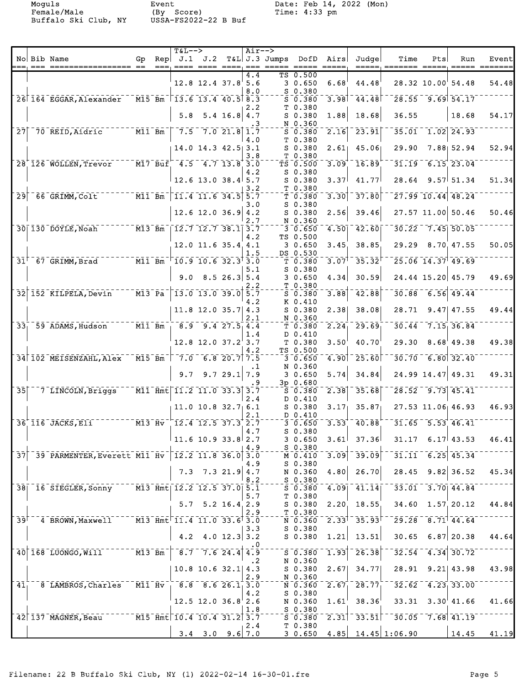|                 |                                                                                                                                              |                                                                                     | <b>T&amp;L--&gt;</b>                                                                                                     |                          |                | $Air--$   |               |                               |                  |                                                                                                                                                                                                         |                                                                |     |                                             |       |
|-----------------|----------------------------------------------------------------------------------------------------------------------------------------------|-------------------------------------------------------------------------------------|--------------------------------------------------------------------------------------------------------------------------|--------------------------|----------------|-----------|---------------|-------------------------------|------------------|---------------------------------------------------------------------------------------------------------------------------------------------------------------------------------------------------------|----------------------------------------------------------------|-----|---------------------------------------------|-------|
|                 | No Bib Name                                                                                                                                  | Gp                                                                                  | $\text{Rep}$ J.1 J.2                                                                                                     |                          |                |           | T&L J.3 Jumps | DofD                          | Airs             | Judge                                                                                                                                                                                                   | Time<br>=====; ======= =====; ===== =======                    | Pts | Run                                         | Event |
|                 |                                                                                                                                              |                                                                                     |                                                                                                                          |                          |                | 4.4       |               | TS 0.500                      |                  |                                                                                                                                                                                                         |                                                                |     |                                             |       |
|                 |                                                                                                                                              |                                                                                     |                                                                                                                          | $12.8$ 12.4 37.8 5.6     |                |           |               | 30.650                        | 6.68             | 44.48                                                                                                                                                                                                   |                                                                |     | 28.32 10.00 54.48                           | 54.48 |
|                 |                                                                                                                                              |                                                                                     |                                                                                                                          |                          |                | 8.0       |               | $S$ 0.380                     |                  |                                                                                                                                                                                                         |                                                                |     |                                             |       |
|                 | 26 164 EGGAR, Alexander                                                                                                                      |                                                                                     | $\overline{M15}$ Bm $\overline{13.6}$ 13.4 40.5 8.3                                                                      |                          |                | 2.2       |               | $S$ 0.380<br>T 0.380          |                  | $3.98$ <sup>-</sup> $44.48$                                                                                                                                                                             |                                                                |     | $28.55 - 9.69$ 54.17                        |       |
|                 |                                                                                                                                              |                                                                                     | 5.8                                                                                                                      |                          | $5.4$ 16.8 4.7 |           |               | $S$ 0.380                     | 1.88             | 18.68                                                                                                                                                                                                   | 36.55                                                          |     | 18.68                                       | 54.17 |
|                 |                                                                                                                                              |                                                                                     |                                                                                                                          |                          |                |           |               | N 0.360                       |                  |                                                                                                                                                                                                         |                                                                |     |                                             |       |
|                 | $27$ $70$ REID, Aidric                                                                                                                       | $^{-}$ $\bar{\texttt{M}}\bar{\texttt{l}}$ $\bar{\texttt{B}}\bar{\texttt{m}}$ $^{-}$ |                                                                                                                          | $7.5 - 7.0 21.8 1.7$     |                |           |               | $5 - 0.380$                   | 2.16             | $-23.91$                                                                                                                                                                                                |                                                                |     | 35.01 1.02 24.93                            |       |
|                 |                                                                                                                                              |                                                                                     |                                                                                                                          | 14.0 14.3 42.5 3.1       |                | 4.0       |               | T 0.380<br>$S$ 0.380          |                  | $2.61$ 45.06                                                                                                                                                                                            | 29.90                                                          |     | $7.88$ 52.94                                | 52.94 |
|                 |                                                                                                                                              |                                                                                     |                                                                                                                          |                          |                | 3.8       |               | T 0.380                       |                  |                                                                                                                                                                                                         |                                                                |     |                                             |       |
|                 | 28 126 WOLLEN, Trevor                                                                                                                        |                                                                                     | $-$ M17 Buf $-4.5$ $-4.7$ 13.8 3.0                                                                                       |                          |                |           |               | $T\bar{S}$ 0.500              | 3.09             | $\overline{16.89}$                                                                                                                                                                                      |                                                                |     | $31.19 - 6.15$ 23.04                        |       |
|                 |                                                                                                                                              |                                                                                     |                                                                                                                          |                          |                | 4.2       |               | $S$ 0.380                     |                  |                                                                                                                                                                                                         |                                                                |     |                                             |       |
|                 |                                                                                                                                              |                                                                                     |                                                                                                                          | $12.6$ 13.0 38.4 5.7     |                | 3.2       |               | $S$ 0.380<br>T 0.380          | 3.37             | 41.77                                                                                                                                                                                                   |                                                                |     | $28.64$ 9.57 51.34                          | 51.34 |
| $\overline{29}$ |                                                                                                                                              |                                                                                     | $\begin{bmatrix} 11.4 & 11.6 & 34.5 & 5.7 \end{bmatrix}$                                                                 |                          |                |           |               | T0.380                        | 3.30             | 37.80                                                                                                                                                                                                   |                                                                |     | $\left[27.99\right]10.44\right]48.24$       |       |
|                 |                                                                                                                                              |                                                                                     |                                                                                                                          |                          |                | 3.0       |               | S 0.380                       |                  |                                                                                                                                                                                                         |                                                                |     |                                             |       |
|                 |                                                                                                                                              |                                                                                     |                                                                                                                          | $12.6$ 12.0 36.9 4.2     |                |           |               | $S$ 0.380                     | 2.56             | 39.46                                                                                                                                                                                                   |                                                                |     | 27.57 11.00 50.46                           | 50.46 |
|                 | 30 130 DOYLE, Noah M13 Bm 12.7 12.7 38.1 3.7                                                                                                 |                                                                                     |                                                                                                                          |                          |                | 2.7       |               | N 0.360<br>$3 - 0.650$        |                  | $4.50$ <sup>-42.60</sup>                                                                                                                                                                                |                                                                |     | $30.22 - 7.45$ 50.05                        |       |
|                 |                                                                                                                                              |                                                                                     |                                                                                                                          |                          |                | 4.2       |               | TS 0.500                      |                  |                                                                                                                                                                                                         |                                                                |     |                                             |       |
|                 |                                                                                                                                              |                                                                                     |                                                                                                                          | 12.0 11.6 35.4 4.1       |                |           |               | 30.650                        | 3.45             | 38.85                                                                                                                                                                                                   |                                                                |     | 29.29 8.70 47.55                            | 50.05 |
|                 |                                                                                                                                              |                                                                                     |                                                                                                                          |                          |                | 1.5       |               | DS 0.530                      |                  |                                                                                                                                                                                                         |                                                                |     |                                             |       |
|                 |                                                                                                                                              |                                                                                     | $\top$ 10.9 10.6 32.3 $\top$ 3.0                                                                                         |                          |                | 5.1       |               | T0.380<br>S 0.380             |                  | $\overline{3.07}^{\dagger\, -} \, \overline{35.32}^{\dagger}$                                                                                                                                           |                                                                |     | $25.06 - 14.37$ 49.69                       |       |
|                 |                                                                                                                                              |                                                                                     | 9.0                                                                                                                      |                          | 8.526.35.4     |           |               | 30.650                        | 4.34             | 30.59                                                                                                                                                                                                   |                                                                |     | 24.44 15.20 45.79                           | 49.69 |
|                 |                                                                                                                                              |                                                                                     |                                                                                                                          |                          |                | 2.2       |               | T 0.380                       |                  |                                                                                                                                                                                                         |                                                                |     |                                             |       |
|                 | 32 152 KILPELA, Devin                                                                                                                        |                                                                                     | $^{-1}$ M13 $^{-}$ Pa $^{-} $ 13.0 13.0 39.0 $^{\dagger}$ 5.7                                                            |                          |                |           |               | $5 - 0.380$                   |                  | $3.88$ <sup>-</sup> $42.88$                                                                                                                                                                             |                                                                |     | $30.88 - 6.56$ 49.44                        |       |
|                 |                                                                                                                                              |                                                                                     |                                                                                                                          | 11.8 12.0 35.7 4.3       |                | 4.2       |               | K 0.410<br>$S$ 0.380          | 2.38             | 38.08                                                                                                                                                                                                   | 28.71                                                          |     | $9.47$ 47.55                                | 49.44 |
|                 |                                                                                                                                              |                                                                                     |                                                                                                                          |                          |                | 2.1       |               | N 0.360                       |                  |                                                                                                                                                                                                         |                                                                |     |                                             |       |
|                 | $33^{ -59}$ ADAMS, Hudson $12^{ -60}$ M11 Bm $-8.9$ 9.4 27.5 4.4                                                                             |                                                                                     |                                                                                                                          |                          |                |           |               | T 0.380                       | 2.24             | $-29.69$                                                                                                                                                                                                | 30.44                                                          |     | 7.15, 36.84                                 |       |
|                 |                                                                                                                                              |                                                                                     |                                                                                                                          |                          |                | 1.4       |               | D 0.410                       |                  |                                                                                                                                                                                                         |                                                                |     |                                             |       |
|                 |                                                                                                                                              |                                                                                     |                                                                                                                          | $12.8$ $12.0$ $37.2$ 3.7 |                | 4.2       |               | T 0.380<br>TS 0.500           | 3.50             | 40.70                                                                                                                                                                                                   | 29.30                                                          |     | $8.68^{+}49.38$                             | 49.38 |
|                 | 34 102 MEISENZAHL, Alex                                                                                                                      |                                                                                     | $\overline{M15}$ Bm $\overline{7.0}$ 6.8 20.7 7.5                                                                        |                          |                |           |               | $3 - 0.650$                   |                  | $\left[4.90\right]$ $\left[25.60\right]$                                                                                                                                                                |                                                                |     | $30.70 - 6.80$ 32.40                        |       |
|                 |                                                                                                                                              |                                                                                     |                                                                                                                          |                          |                | $\cdot$ 1 |               | N 0.360                       |                  |                                                                                                                                                                                                         |                                                                |     |                                             |       |
|                 |                                                                                                                                              |                                                                                     | 9.7                                                                                                                      |                          | 9.729.1        | 7.9       |               | 30.650                        | 5.74             | 34.84                                                                                                                                                                                                   |                                                                |     | 24.99 14.47 49.31                           | 49.31 |
| $\overline{35}$ | 7 LINCOLN, Briggs                                                                                                                            |                                                                                     | $\overline{M11}$ $\overline{Hm}$ t $\overline{L}$ $\overline{11.2}$ $\overline{11.0}$ $\overline{33.3}$ $\overline{3.7}$ |                          |                |           |               | 3p 0.680<br>S 0.380           |                  | $\overline{2.38}$ $\overline{35.68}$                                                                                                                                                                    |                                                                |     | $28.52 - 9.73$ 45.41                        |       |
|                 |                                                                                                                                              |                                                                                     |                                                                                                                          |                          |                | 2.4       |               | D 0.410                       |                  |                                                                                                                                                                                                         |                                                                |     |                                             |       |
|                 |                                                                                                                                              |                                                                                     |                                                                                                                          | $11.0$ 10.8 32.7 6.1     |                |           |               | $S$ 0.380                     | 3.17             | 35.87                                                                                                                                                                                                   |                                                                |     | $27.53$ 11.06 46.93                         | 46.93 |
|                 |                                                                                                                                              |                                                                                     |                                                                                                                          |                          |                | 2.1       |               | D 0.410                       |                  |                                                                                                                                                                                                         |                                                                |     |                                             |       |
|                 | $36^\circ$ $116^\circ$ JACKS, Eli<br>$\overline{M13}$ $\overline{Hv}$ $\overline{12.4}$ $\overline{12.5}$ $\overline{37.3}$ $\overline{2.7}$ |                                                                                     |                                                                                                                          |                          |                | 4.7       |               | $3 - 0.650$<br>$S$ 0.380      |                  | $3.53$ 40.88                                                                                                                                                                                            |                                                                |     | $31.65 - 5.53$ 46.41                        |       |
|                 |                                                                                                                                              |                                                                                     | $\vert$ 11.6 10.9 33.8 $\vert$ 2.7                                                                                       |                          |                |           |               | 30.650                        |                  | $3.61$ $37.36$                                                                                                                                                                                          |                                                                |     | $31.17$ 6.17 43.53                          | 46.41 |
|                 |                                                                                                                                              |                                                                                     |                                                                                                                          |                          |                | 4.9       |               | $S$ 0.380                     |                  |                                                                                                                                                                                                         |                                                                |     |                                             |       |
|                 | $37$ <sup>-39-</sup> PARMENTER, Everett M11-Hv <sup>-</sup> 12.2 11.8 36.0 3.0                                                               |                                                                                     |                                                                                                                          |                          |                |           |               | M 0.410                       |                  | $\overline{3.09}$ $\overline{39.09}$                                                                                                                                                                    |                                                                |     | $\overline{31.11}$ 6.25 45.34               |       |
|                 |                                                                                                                                              |                                                                                     |                                                                                                                          | $7.3$ $7.3$ $21.9$ $4.7$ |                | 4.9       |               | S 0.380                       |                  | N $0.360$ 4.80 26.70                                                                                                                                                                                    |                                                                |     | $28.45$ 9.82 36.52                          | 45.34 |
|                 |                                                                                                                                              |                                                                                     |                                                                                                                          |                          |                | 8.2       |               | S 0.380                       |                  |                                                                                                                                                                                                         |                                                                |     |                                             |       |
|                 | 38 16 SIEGLER, Sonny M13 Hmt 12.2 12.5 37.0 5.1                                                                                              |                                                                                     |                                                                                                                          |                          |                |           |               |                               |                  |                                                                                                                                                                                                         | $S$ 0.380 4.09 41.14 33.01 3.70 44.84                          |     |                                             |       |
|                 |                                                                                                                                              |                                                                                     |                                                                                                                          |                          |                | 5.7       |               | T <sub>0.380</sub>            |                  |                                                                                                                                                                                                         |                                                                |     |                                             |       |
|                 |                                                                                                                                              |                                                                                     |                                                                                                                          | $5.7$ $5.2$ $16.4$ $2.9$ |                | 2.9       |               | S 0.380<br>T <sub>0.380</sub> |                  | $2.20$ , $18.55$                                                                                                                                                                                        |                                                                |     | $34.60 \quad 1.57, 20.12$                   | 44.84 |
|                 | 39 <sup>t-4</sup> BROWN, Maxwell <sup>----</sup> M13 <sup>-Hmt-11.4-11.0-33.6<sup>t</sup>3.0</sup>                                           |                                                                                     |                                                                                                                          |                          |                |           |               |                               |                  | $\bar{N}$ $\bar{0}$ $\bar{0}$ $\bar{3}$ $\bar{6}$ $\bar{0}$ $\bar{0}$ $\bar{2}$ $\bar{0}$ $\bar{3}$ $\bar{3}$ $\bar{1}$ $\bar{0}$ $\bar{3}$ $\bar{5}$ $\bar{0}$ $\bar{3}$ $\bar{1}$ $\bar{0}$ $\bar{1}$ |                                                                |     | $\sqrt{29.28}$ $\sqrt{8.71}$ $\sqrt{44.64}$ |       |
|                 |                                                                                                                                              |                                                                                     |                                                                                                                          |                          |                | 3.3       |               | S 0.380                       |                  |                                                                                                                                                                                                         |                                                                |     |                                             |       |
|                 |                                                                                                                                              |                                                                                     |                                                                                                                          | 4.2 4.0 12.3 3.2         |                |           |               | $S$ 0.380                     | 1.21             | 13.51                                                                                                                                                                                                   |                                                                |     | $30.65$ 6.87 20.38                          | 44.64 |
|                 | 40 168 LUONGO, Will W13 Bm 7 8.7 7.6 24.4 4.9                                                                                                |                                                                                     |                                                                                                                          |                          |                | . 0       |               | $-50.380$                     |                  | $\overline{1.93}$ $\overline{26.38}$                                                                                                                                                                    |                                                                |     | $32.54 - 4.34$ 30.72                        |       |
|                 |                                                                                                                                              |                                                                                     |                                                                                                                          |                          |                | $\cdot$ 2 |               | N 0.360                       |                  |                                                                                                                                                                                                         |                                                                |     |                                             |       |
|                 |                                                                                                                                              |                                                                                     |                                                                                                                          | $10.8$ 10.6 32.1 4.3     |                |           |               | S 0.380                       |                  | $2.67$ 34.77                                                                                                                                                                                            |                                                                |     | $28.91$ $9.21$ $43.98$                      | 43.98 |
|                 |                                                                                                                                              |                                                                                     |                                                                                                                          |                          |                | 2.9       |               | N 0.360                       |                  |                                                                                                                                                                                                         |                                                                |     |                                             |       |
| $41^{-}$        | $-8$ LAMBROS, Charles $-$ M11 Hv $-8.8$ 8.6 26.1 3.0                                                                                         |                                                                                     |                                                                                                                          |                          |                | 4.2       |               | $S_0.380$                     |                  |                                                                                                                                                                                                         | $\sqrt{N}$ 0.360 $\sqrt{2.67}$ 28.77 $\sqrt{32.62}$ 4.23 33.00 |     |                                             |       |
|                 |                                                                                                                                              |                                                                                     |                                                                                                                          | $12.5$ 12.0 36.8 2.6     |                |           |               | N 0.360                       | $1.61^{\dagger}$ |                                                                                                                                                                                                         | $38.36^{1}$ $33.31$ $3.30^{1}$ $41.66$                         |     |                                             | 41.66 |
|                 |                                                                                                                                              |                                                                                     |                                                                                                                          |                          |                | 1.8       |               | $S_{0.380}$                   |                  |                                                                                                                                                                                                         |                                                                |     |                                             |       |
|                 | 42 137 MAGNER, Beau M15 Hmt 10.4 10.4 31.2 3.7                                                                                               |                                                                                     |                                                                                                                          |                          |                |           |               |                               |                  |                                                                                                                                                                                                         | $50.380 - 2.31$ $- 33.51$ $- 30.05 - 7.68$ 41.19               |     |                                             |       |
|                 |                                                                                                                                              |                                                                                     |                                                                                                                          | $3.4$ $3.0$ $9.6$ 7.0    |                | 2.4       |               | T <sub>0.380</sub>            |                  |                                                                                                                                                                                                         |                                                                |     |                                             | 41.19 |
|                 |                                                                                                                                              |                                                                                     |                                                                                                                          |                          |                |           |               |                               |                  |                                                                                                                                                                                                         |                                                                |     |                                             |       |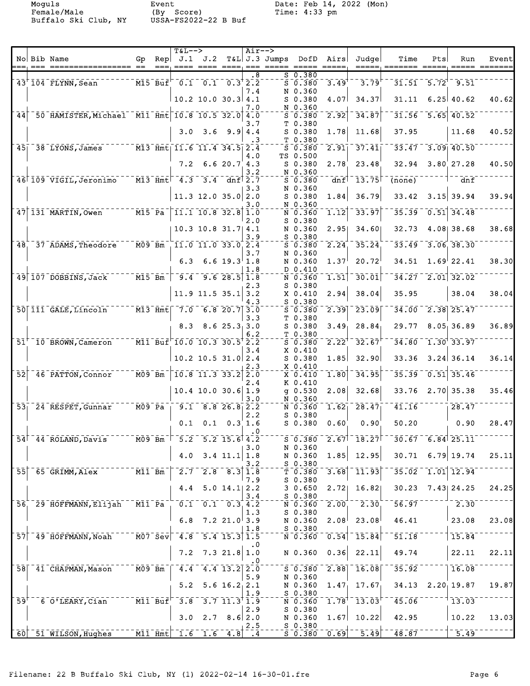|                            |                                                      |                                                             |      | $T&L-->$                                                                                                                        |                                                                        |                                                     | $Air--$   |                                                |                                                                                               |                                                    |                                                                                  |                            |     |                                   |       |
|----------------------------|------------------------------------------------------|-------------------------------------------------------------|------|---------------------------------------------------------------------------------------------------------------------------------|------------------------------------------------------------------------|-----------------------------------------------------|-----------|------------------------------------------------|-----------------------------------------------------------------------------------------------|----------------------------------------------------|----------------------------------------------------------------------------------|----------------------------|-----|-----------------------------------|-------|
|                            | No Bib Name                                          | Gp                                                          | $==$ | $\mathsf{Rep} \mathsf{J.1} $                                                                                                    | J.2                                                                    |                                                     |           | T&L J.3 Jumps<br>==== ==== ====, === ===== === | DofD                                                                                          | Airs<br>$\qquad \qquad \doteq\qquad \qquad \qquad$ | Judgel                                                                           | Time<br>=====, =======     | Pts | Run<br>=====, =====               | Event |
|                            | $43'$ $104$ FLYNN, Sean                              |                                                             |      | $\overline{15}$ $\overline{15}$ $\overline{B}u\overline{f}$ $\overline{0.1}$ $\overline{0.1}$ $\overline{0.3}$ $\overline{2.2}$ |                                                                        |                                                     | . 8       |                                                | $S$ 0.380<br>$\bar{s}$ $\bar{0}$ $\bar{s}$ $\bar{s}$ $\bar{0}$                                | 3.49                                               | 3.79                                                                             |                            |     | $31.51 - 5.72$ <sup>1</sup> 9.51  |       |
|                            |                                                      |                                                             |      |                                                                                                                                 |                                                                        |                                                     | 7.4       |                                                | N 0.360                                                                                       |                                                    |                                                                                  |                            |     |                                   |       |
|                            |                                                      |                                                             |      |                                                                                                                                 | $10.2$ 10.0 30.3 4.1                                                   |                                                     | 7.0       |                                                | $S$ 0.380<br>N 0.360                                                                          | 4.07                                               | 34.37                                                                            | 31.11                      |     | $6.25 \, 40.62$                   | 40.62 |
|                            | 44 50 HAMISTER, Michael M11 Hmt 10.8 10.5 32.0 4.0   |                                                             |      |                                                                                                                                 |                                                                        |                                                     | 3.7       |                                                | $5 - 0.380$<br>T 0.380                                                                        | $\left[2.92\right]$                                | 34.87                                                                            |                            |     | $31.56 - 5.65$ 40.52              |       |
|                            |                                                      |                                                             |      |                                                                                                                                 | $3.0 \quad 3.6$                                                        |                                                     | $9.9$ 4.4 |                                                | $S$ 0.380                                                                                     | 1.78                                               | 11.68                                                                            | 37.95                      |     | 11.68                             | 40.52 |
|                            | 45 38 LYONS, James M13 Hmt 11.6 11.4 34.5 2.4        |                                                             |      |                                                                                                                                 |                                                                        |                                                     | .3        |                                                | T 0.380<br>$S = 0.380$                                                                        |                                                    | $\overline{2.91}$ $\overline{37.41}$                                             |                            |     | $33.47 - 3.09$ 40.50              |       |
|                            |                                                      |                                                             |      |                                                                                                                                 | $7.2 \quad 6.6 \quad 20.7 \quad 4.3$                                   |                                                     | 4.0       |                                                | TS 0.500<br>$S$ 0.380                                                                         | 2.78                                               | 23.48                                                                            | 32.94                      |     | $3.80 \, 27.28$                   | 40.50 |
|                            | 46 109 VIGIL, Jeronimo M13 Hmt 4.3 3.4 dnf 2.7       |                                                             |      |                                                                                                                                 |                                                                        |                                                     | 3.2       |                                                | N 0.360<br>50.380                                                                             | dnf                                                | $-13.75$                                                                         | $\overline{(\text{none})}$ |     | dnf                               |       |
|                            |                                                      |                                                             |      |                                                                                                                                 |                                                                        |                                                     | 3.3       |                                                | N 0.360                                                                                       |                                                    |                                                                                  |                            |     |                                   |       |
|                            |                                                      |                                                             |      |                                                                                                                                 | $11.3$ 12.0 35.0 2.0                                                   |                                                     | 3.0       |                                                | $S$ 0.380<br>N 0.360                                                                          | 1.84                                               | 36.79                                                                            | 33.42                      |     | $3.15$ 39.94                      | 39.94 |
|                            | 47 131 MARTIN, Owen M15 Pa                           |                                                             |      |                                                                                                                                 | $\overline{11.1}$ $\overline{10.8}$ $\overline{32.8}$ $\overline{1.0}$ |                                                     | 2.0       |                                                | N 0.360<br>$S$ 0.380                                                                          | $\overline{1.12}$                                  | 33.97                                                                            |                            |     | $35.39 - 0.51$ 34.48              |       |
|                            |                                                      |                                                             |      |                                                                                                                                 | 10.3 10.8 31.7   4.1                                                   |                                                     |           |                                                | N 0.360                                                                                       | 2.95                                               | 34.60                                                                            | 32.73                      |     | 4.08 38.68                        | 38.68 |
|                            | 48 37 ADAMS, Theodore                                | $ \bar{M}$ 09 $\bar{B}$ m $\bar{B}$                         |      | $11.0$ 11.0 33.0 2.4                                                                                                            |                                                                        |                                                     | 3.9       |                                                | S 0.380<br>$S = 0.380$                                                                        |                                                    | $\overline{2.24}$ $\overline{35.24}$                                             | $\overline{33.49}$         |     | 3.06, 38.30                       |       |
|                            |                                                      |                                                             |      | 6.3                                                                                                                             |                                                                        | 6.6 $19.3$ 1.8                                      | 3.7       |                                                | N 0.360<br>N 0.360                                                                            | 1.37 <sup>1</sup>                                  | 20.72                                                                            | 34.51                      |     | $1.69$ <sup>22.41</sup>           | 38.30 |
|                            |                                                      |                                                             |      |                                                                                                                                 |                                                                        |                                                     | 1.8       |                                                | D 0.410                                                                                       |                                                    |                                                                                  |                            |     |                                   |       |
|                            | 49 107 DOBBINS, Jack 700 M15 Bm 79.4 9.6 28.5 1.8    |                                                             |      |                                                                                                                                 |                                                                        |                                                     | 2.3       |                                                | $\bar{\texttt{N}}$ $\bar{\texttt{0}}$ . $\bar{\texttt{3}}$ 60 $\bar{\texttt{0}}$<br>$S$ 0.380 | $\overline{1.51}$                                  | 30.01                                                                            |                            |     | $34.27 - 2.01$ 32.02              |       |
|                            |                                                      |                                                             |      |                                                                                                                                 | 11.9 11.5 35.1 3.2                                                     |                                                     | 4.3       |                                                | $X$ 0.410<br>$S$ 0.380                                                                        | 2.94                                               | 38.04                                                                            | 35.95                      |     | 38.04                             | 38.04 |
|                            | 50 111 GALE, Lincoln M13 Hmt 7.0 6.8 20.7 3.0        |                                                             |      |                                                                                                                                 |                                                                        |                                                     |           |                                                | $5 - 0.380$<br>T 0.380                                                                        |                                                    | $\overline{2.39}$ $\overline{23.09}$                                             |                            |     | $34.00 - 2.38$ 25.47              |       |
|                            |                                                      |                                                             |      | 8.3                                                                                                                             |                                                                        | 8.625.333.0                                         | 3.3       |                                                | $S$ 0.380                                                                                     | 3.49 <sub>1</sub>                                  | 28.84                                                                            | 29.77                      |     | 8.05, 36.89                       | 36.89 |
|                            | $51^+$ 10 BROWN, Cameron $M1$ Buf 10.0 10.3 30.5 2.2 |                                                             |      |                                                                                                                                 |                                                                        |                                                     | 6.2       |                                                | T 0.380<br>$S = 0.380$                                                                        | $2.22^1$                                           | 32.67                                                                            |                            |     | $34.80 - 1.30$ 33.97              |       |
|                            |                                                      |                                                             |      |                                                                                                                                 | $10.2$ 10.5 31.0 2.4                                                   |                                                     | 3.4       |                                                | $X_0.410$<br>$S$ 0.380                                                                        | 1.85                                               | 32.90                                                                            | 33.36                      |     | $3.24$ 36.14                      | 36.14 |
|                            |                                                      |                                                             |      |                                                                                                                                 |                                                                        |                                                     | 2.3       |                                                | $X_0.410$                                                                                     |                                                    |                                                                                  |                            |     |                                   |       |
| $\bar{5}\bar{2}$           | $-46$ PATTON, Connor                                 | $^{-}$ MO9 $^{-}$ Bm                                        |      |                                                                                                                                 | $10.8$ $11.3$ $33.2$ $2.0$                                             |                                                     | 2.4       |                                                | $X = 0.410$<br>K 0.410                                                                        | $\mathbf{\bar{1.80}}$                              | 34.95                                                                            |                            |     | $35.39 - 0.51$ 35.46              |       |
|                            |                                                      |                                                             |      |                                                                                                                                 | $10.4$ 10.0 30.6 1.9                                                   |                                                     | 3.0       |                                                | $g$ 0.530<br>N 0.360                                                                          | 2.08                                               | 32.68                                                                            | 33.76                      |     | $2.70$ 35.38                      | 35.46 |
|                            | $53 - 24$ RESPET, Gunnar                             | $ \bar{M09}$ $\bar{Pa}$ $\bar{a}$                           |      |                                                                                                                                 | $-9.1 - 8.8 - 26.8 - 2.2$                                              |                                                     |           |                                                | $\bar{\texttt{N}}$ $\bar{\texttt{0}}$ . 360 $\bar{\texttt{0}}$                                | $1.62^{-}$                                         | 28.47                                                                            | 41.16                      |     | 28.47                             |       |
|                            |                                                      |                                                             |      | 0.1                                                                                                                             |                                                                        | $0.1 \quad 0.3 \quad 1.6$                           | 2.2       |                                                | $S$ 0.380<br>$S$ 0.380                                                                        | $0.60^{\circ}$                                     | 0.90                                                                             | 50.20                      |     | 0.90                              | 28.47 |
|                            | $54^{\dagger}$ $44^{\dagger}$ ROLAND, Davis          | $M09$ Bm                                                    |      |                                                                                                                                 | $5.2$ $5.2$ $15.6$ $4.2$                                               |                                                     | $\cdot$ 0 |                                                | $S$ 0.380                                                                                     |                                                    | $2.67$ <sup>-</sup> $18.27$ <sup>-</sup>                                         |                            |     | $30.67 - 6.84$ 25.11              |       |
|                            |                                                      |                                                             |      | 4.0                                                                                                                             |                                                                        | $3.4$ 11.1 1.8                                      | 3.0       |                                                | N 0.360<br>N 0.360                                                                            |                                                    | $1.85$ 12.95                                                                     |                            |     | $30.71$ 6.79 19.74                | 25.11 |
|                            |                                                      |                                                             |      |                                                                                                                                 |                                                                        |                                                     | 3.2       |                                                | S 0.380                                                                                       |                                                    |                                                                                  |                            |     |                                   |       |
| $\overline{55}$            | $65$ GRIMM, Alex                                     | $ \overline{M11}$ $\overline{Bm}$                           |      | $2.7^{-1}$                                                                                                                      |                                                                        | $\overline{2.8}$ $\overline{8.3}$ $\overline{1.8}$  | 7.9       |                                                | $\bar{\tau}$ $\bar{0}$ .380 $\bar{\tau}$<br>$S$ 0.380                                         |                                                    | $3.68$ <sup>-11.93</sup>                                                         |                            |     | $35.02 - 1.01$ 12.94              |       |
|                            |                                                      |                                                             |      | 4.4                                                                                                                             |                                                                        | $5.0$ 14.1 2.2                                      | 3.4       |                                                | 30.650<br>$S$ 0.380                                                                           | 2.72                                               | 16.82                                                                            | 30.23                      |     | 7.43 24.25                        | 24.25 |
|                            | 56 29 HOFFMANN, Elijah                               | $\bar{\texttt{Mil}}$ $\bar{\texttt{Pa}}$                    |      | 0.1                                                                                                                             |                                                                        | $\overline{0.1}$ $\overline{0.3}$ $\overline{4.2}$  |           |                                                | $\overline{N}$ $\overline{0.360}$                                                             | $2.00^{+}$                                         | 2.30                                                                             | 56.97                      |     | 2.30                              |       |
|                            |                                                      |                                                             |      | 6.8                                                                                                                             |                                                                        | $7.2$ 21.0 3.9                                      | 1.3       |                                                | $S$ 0.380<br>N 0.360                                                                          | 2.08 <sup>1</sup>                                  | 23.08                                                                            | 46.41                      |     | 23.08                             | 23.08 |
|                            | $57$ <sup><math>-49</math></sup> $H$ OFFMANN, Noah   | $\bar{\texttt{M07-Sev}}$                                    |      | $4.8$ <sup>-1</sup>                                                                                                             |                                                                        | $\overline{5.4}$ $\overline{15.3}$ $\overline{1.5}$ | 1.8       |                                                | S 0.380<br>$\bar{N}$ $\bar{0}$ $\bar{0}$ $\bar{3}$ $\bar{6}$ $\bar{0}$                        |                                                    | $\overline{0.54}$ <sup>-</sup> 15.84                                             | 51.18                      |     | 15.84                             |       |
|                            |                                                      |                                                             |      |                                                                                                                                 |                                                                        |                                                     | . 0       |                                                |                                                                                               |                                                    |                                                                                  |                            |     |                                   |       |
|                            |                                                      |                                                             |      | 7.2                                                                                                                             |                                                                        | $7.3$ 21.8 1.0                                      | . 0       |                                                | N 0.360                                                                                       | 0.36                                               | 22.11                                                                            | 49.74                      |     | 22.11                             | 22.11 |
|                            | 58 41 CHAPMAN, Mason                                 | $ \overline{\texttt{M09}}$ $\overline{\texttt{Bm}}$ $^{-1}$ |      | $\overline{4.4}$                                                                                                                | $-4.4$ 13.2 $\overline{2.0}$                                           |                                                     | 5.9       |                                                | $5 - 0.380$<br>N 0.360                                                                        |                                                    | $\overline{2.88}$ 16.08                                                          | 35.92                      |     | 16.08                             |       |
|                            |                                                      |                                                             |      | 5.2                                                                                                                             |                                                                        | $5.6$ 16.2, 2.1                                     | 1.9       |                                                | N 0.360<br>$S$ 0.380                                                                          |                                                    | $1.47$ , 17.67                                                                   |                            |     | $34.13$ $2.20$ <sub>1</sub> 19.87 | 19.87 |
| $\bar{5}\bar{9}^{\dagger}$ | 6 O'LEARY, Cian                                      |                                                             |      | $\bar{M}$ 11 Buf $\bar{F}$ 3.8                                                                                                  | $-3.7$ 11.3 <sup>†</sup> 1.9                                           |                                                     |           |                                                | $\bar{N}$ $\bar{0}$ $\bar{0}$ $\bar{3}$ $\bar{6}$ $\bar{0}$                                   |                                                    | $\bar{1}.\bar{7}\bar{8}^\dagger$ $\bar{1}\bar{3}\bar{.}\,\bar{0}\bar{3}^\dagger$ | 45.06                      |     | 13.03                             |       |
|                            |                                                      |                                                             |      | 3.0                                                                                                                             |                                                                        | $2.7$ $8.6$ 2.0                                     | 2.9       |                                                | $S$ 0.380<br>N 0.360                                                                          |                                                    | $1.67$ 10.22                                                                     | 42.95                      |     | 10.22                             | 13.03 |
|                            | $60$ $51$ $\overline{\text{Wilson}}$ , Hughes        |                                                             |      | $\text{M11}$ $\text{Hm}$ t $\text{L}$ $\text{I.6}$ $\text{I.6}$ $\text{I.6}$ $\text{I.8}$ $\text{I.4}$                          |                                                                        |                                                     | 2.5       |                                                | $S$ 0.380                                                                                     |                                                    | $\sqrt{5}$ $\sqrt{0.380}$ $\sqrt{0.69}$ $\sqrt{0.49}$                            | 48.87                      |     | $\frac{1}{5.49}$                  |       |
|                            |                                                      |                                                             |      |                                                                                                                                 |                                                                        |                                                     |           |                                                |                                                                                               |                                                    |                                                                                  |                            |     |                                   |       |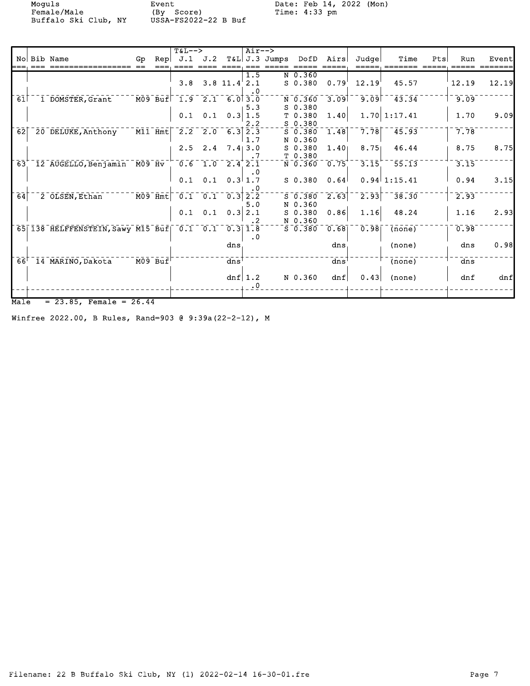Moguls Event Date: Feb 14, 2022 (Mon)<br>
Female/Male (By Score) Time: 4:33 pm Female/Male (By Score) Time: 4:33 pm Buffalo Ski Club, NY USSA-FS2022-22 B Buf

|                            |                                                       |     |                                                                                | $T&L--&>$        |     |                                                     | $Air--$ >              |               |             |                        |       |                     |     |                  |       |
|----------------------------|-------------------------------------------------------|-----|--------------------------------------------------------------------------------|------------------|-----|-----------------------------------------------------|------------------------|---------------|-------------|------------------------|-------|---------------------|-----|------------------|-------|
|                            | No Bib Name                                           | Gp. | Rep                                                                            | J.1              | J.2 |                                                     |                        | T&L J.3 Jumps | DofD        | Airs                   | Judge | Time                | Pts | Run              | Event |
|                            |                                                       |     |                                                                                |                  |     |                                                     |                        |               |             |                        |       |                     |     |                  |       |
|                            |                                                       |     |                                                                                | 3.8              |     | $3.8$ 11.4 2.1                                      | 1.5                    |               | N 0.360     |                        | 12.19 | 45.57               |     |                  | 12.19 |
|                            |                                                       |     |                                                                                |                  |     |                                                     | $\cdot$ 0              |               | $S$ 0.380   | 0.79                   |       |                     |     | 12.19            |       |
| 61                         | 1 DOMSTER, Grant                                      |     | $\bar{\texttt{M09}}$ $\bar{\texttt{Bu}}$ $\bar{\texttt{E}}$ $\bar{\texttt{S}}$ |                  |     | $1.9$ 2.1 6.0 3.0                                   |                        |               | N 0.360     | 3.09                   | 9.09  | $-43.34$            |     | 9.09             |       |
|                            |                                                       |     |                                                                                |                  |     |                                                     | 5.3                    |               | $S$ 0.380   |                        |       |                     |     |                  |       |
|                            |                                                       |     |                                                                                | 0.1              |     | $0.1 \quad 0.3 \vert 1.5$                           |                        |               | T 0.380     | 1.40                   |       | $1.70 \mid 1:17.41$ |     | 1.70             | 9.09  |
|                            |                                                       |     |                                                                                |                  |     |                                                     | 2.2                    |               | $S$ 0.380   |                        |       |                     |     |                  |       |
| $\overline{62}$            | 20 DELUKE, Anthony                                    |     | $\bar{M11}$ $\bar{H}$ mt $ $                                                   | $\overline{2.2}$ | 2.0 |                                                     | $6.3$ $\overline{2.3}$ |               | $S$ 0.380   | 1.48                   | 7.78  | 45.93               |     | 7.78             |       |
|                            |                                                       |     |                                                                                |                  |     |                                                     | 1.7                    |               | N 0.360     |                        |       |                     |     |                  |       |
|                            |                                                       |     |                                                                                | 2.5              | 2.4 |                                                     | 7.413.0                |               | $S$ 0.380   | 1.40 <sub>1</sub>      | 8.75  | 46.44               |     | 8.75             | 8.75  |
|                            |                                                       |     |                                                                                |                  |     |                                                     | .7                     |               | T 0.380     |                        |       |                     |     |                  |       |
| $\overline{63}^+$          | $\overline{12}$ AUGELLO, Benjamin $\overline{M09}$ Hv |     |                                                                                | 0.6              |     | $1.0 \quad 2.4 \quad 2.1$                           |                        |               | N 0.360     | 0.75                   | 3.15  | 55.13               |     | 3.15             |       |
|                            |                                                       |     |                                                                                |                  |     |                                                     | $\cdot$ 0              |               |             |                        |       |                     |     |                  |       |
|                            |                                                       |     |                                                                                | 0.1              | 0.1 |                                                     | $0.3$ 1.7              |               | $S$ 0.380   | 0.64                   |       | $0.94$ 1:15.41      |     | 0.94             | 3.15  |
| $\overline{6}\overline{4}$ |                                                       |     | $\overline{MO9}$ $\overline{H}$ mt $\overline{t}$                              |                  |     | $\begin{bmatrix} 0.1 & 0.1 & 0.3 \end{bmatrix}$ 2.2 | . 0                    |               | $5 - 0.380$ | $\overline{2.63}$      | 2.93  | 38.30               |     | 2.93             |       |
|                            | 2 OLSEN, Ethan                                        |     |                                                                                |                  |     |                                                     | 5.0                    |               | N 0.360     |                        |       |                     |     |                  |       |
|                            |                                                       |     |                                                                                | 0.1              | 0.1 | 0.3                                                 | 2.1                    |               | $S$ 0.380   | 0.86                   | 1.16  | 48.24               |     | 1.16             | 2.93  |
|                            |                                                       |     |                                                                                |                  |     |                                                     | .2 <sub>2</sub>        |               | N 0.360     |                        |       |                     |     |                  |       |
|                            | 65 138 HELFFENSTEIN, Sawy M15 Buf 0.1                 |     |                                                                                |                  | 0.1 |                                                     | $0.3$ 1.8              |               | $S$ 0.380   | 0.68                   | 0.98  | (none)              |     | 0.98             |       |
|                            |                                                       |     |                                                                                |                  |     |                                                     | $\cdot$ 0              |               |             |                        |       |                     |     |                  |       |
|                            |                                                       |     |                                                                                |                  |     | dns                                                 |                        |               |             | dns                    |       | (none)              |     | dns              | 0.98  |
|                            |                                                       |     |                                                                                |                  |     |                                                     |                        |               |             |                        |       |                     |     |                  |       |
| $66^{\circ}$               | 14 MARINO, Dakota                                     |     | $M09$ Buf                                                                      |                  |     | $\frac{1}{\text{dns}}$                              |                        |               |             | $\frac{1}{\text{dns}}$ |       | (none)              |     | $\overline{dns}$ |       |
|                            |                                                       |     |                                                                                |                  |     |                                                     |                        |               |             |                        |       |                     |     |                  |       |
|                            |                                                       |     |                                                                                |                  |     |                                                     | dnf $1.2$              |               | N 0.360     | dnf                    | 0.43  | (none)              |     | dnf              | dnf   |
|                            |                                                       |     |                                                                                |                  |     |                                                     | $\cdot$ 0              |               |             |                        |       |                     |     |                  |       |
|                            |                                                       |     |                                                                                |                  |     |                                                     |                        |               |             |                        |       |                     |     |                  |       |
| $M$ ale                    | $= 23.85$ , Female = 26.44                            |     |                                                                                |                  |     |                                                     |                        |               |             |                        |       |                     |     |                  |       |

Winfree 2022.00, B Rules, Rand=903 @ 9:39a(22-2-12), M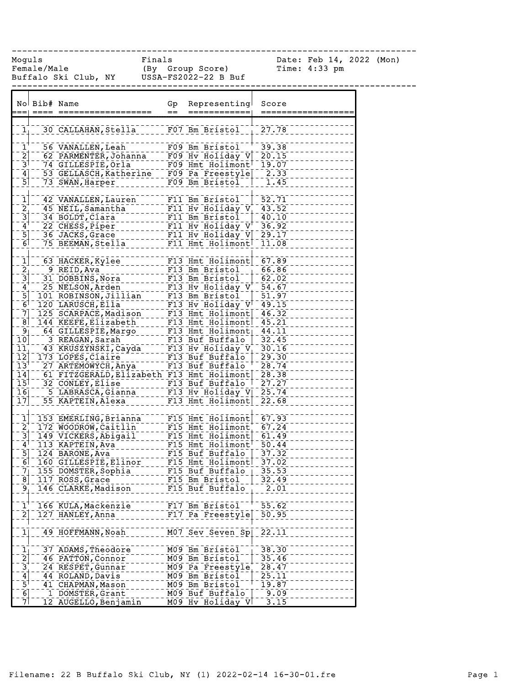------------------------------------------------------------------------------

Moguls Finals Date: Feb 14, 2022 (Mon) Female/Male (By Group Score) Time: 4:33 pm Buffalo Ski Club, NY USSA-FS2022-22 B Buf

|                                                                                 | No Bib# Name |                                                                                                                                                                                                                                                | Gp  | Representing<br>============                     | Score          |
|---------------------------------------------------------------------------------|--------------|------------------------------------------------------------------------------------------------------------------------------------------------------------------------------------------------------------------------------------------------|-----|--------------------------------------------------|----------------|
|                                                                                 |              |                                                                                                                                                                                                                                                | $=$ |                                                  | ==========     |
| 1 <sub>1</sub>                                                                  |              | 30 CALLAHAN, Stella F07 Bm Bristol 1 27.78                                                                                                                                                                                                     |     |                                                  |                |
|                                                                                 |              |                                                                                                                                                                                                                                                |     |                                                  |                |
| $\mathbf{\bar{1}}^{\dagger}$                                                    |              | 56 VANALLEN, Leah                                                                                                                                                                                                                              |     | FO9 Bm Bristol                                   | $-39.38$       |
|                                                                                 |              | 62 PARMENTER, Johanna - - FO9 Hv Holiday V 20.15                                                                                                                                                                                               |     |                                                  |                |
| $\begin{array}{c}\n2 \\ \hline\n3\n\end{array}$                                 |              | 74 GILLESPIE, Orla - - - - - FO9 Hmt Holimont <sup>1</sup> 19.07<br>53 GELLASCH, Katherine - FO9 Pa Freestyle - 2.33<br>72 GELLASCH, Katherine - FO9 Pa Freestyle - 2.33                                                                       |     |                                                  |                |
| $\begin{array}{c} 4 \\ -5 \end{array}$                                          |              |                                                                                                                                                                                                                                                |     |                                                  |                |
|                                                                                 |              | 73 SWAN, Harper __________ F09 Bm Bristol                                                                                                                                                                                                      |     |                                                  | 1.45           |
|                                                                                 |              |                                                                                                                                                                                                                                                |     |                                                  |                |
| $\mathbf{1}$                                                                    |              | 42 VANALLEN, Lauren                                                                                                                                                                                                                            |     | F11 Bm Bristol                                   | $-52.71$       |
|                                                                                 |              | 45 NEIL, Samantha                                                                                                                                                                                                                              |     | F11 Hv Holiday $V_+$ 43.52                       |                |
| $\frac{2}{3}$<br>$\frac{3}{4}$                                                  |              | 34 BOLDT, Clara                                                                                                                                                                                                                                |     | F11 Bm Bristol                                   | 40.10<br>36.92 |
| $\overline{5}$                                                                  |              | 36 JACKS, Grace                                                                                                                                                                                                                                |     | F11 Hv Holiday V 29.17                           |                |
| $\overline{6}$                                                                  |              | 75 BEEMAN, Stella_                                                                                                                                                                                                                             |     | F11 Hmt Holimont <sup>1</sup> 11.08              |                |
|                                                                                 |              |                                                                                                                                                                                                                                                |     |                                                  |                |
|                                                                                 |              | 63 HACKER, Kylee                                                                                                                                                                                                                               |     | F13 Hmt Holimont 67.89                           |                |
| $\begin{array}{c} \boxed{1} \\ \boxed{2} \\ \boxed{3} \\ \boxed{4} \end{array}$ |              | 9 REID, Ava                                                                                                                                                                                                                                    |     |                                                  |                |
|                                                                                 |              | 31 DOBBINS, Nora                                                                                                                                                                                                                               |     | F13 Bm Bristol - 66.86<br>F13 Bm Bristol - 62.02 |                |
|                                                                                 |              |                                                                                                                                                                                                                                                |     |                                                  |                |
| $\overline{5}$                                                                  |              | - 25 NELSON, Arden<br>101 ROBINSON, Jillian - - - F13 Bm Bristol - - 54.67<br>120 LARUSCH, Ella - - - - - F13 Bm Bristol - - 51.97<br>120 LARUSCH, Ella - - - - - - F13 Hv Holiday V - 49.15                                                   |     |                                                  |                |
| $-6$                                                                            |              |                                                                                                                                                                                                                                                |     |                                                  |                |
| $\overline{7}$                                                                  |              |                                                                                                                                                                                                                                                |     |                                                  |                |
| $\overline{8}$                                                                  |              | 125 SCARPACE, Madison<br>144 KEEFE, Elizabeth F13 Hmt Holimont 46.32<br>144 KEEFE, Elizabeth T13 Hmt Holimont 46.32<br>164 AFFE, Elizabeth T13 Hmt Holimont 14.31                                                                              |     |                                                  |                |
| $\overline{9}$                                                                  |              |                                                                                                                                                                                                                                                |     |                                                  |                |
| $\overline{10}$                                                                 |              |                                                                                                                                                                                                                                                |     |                                                  |                |
| 11<br>$\overline{12}$                                                           |              | 64 GILLESPIE, Margo<br>713 Hmt Holimont 74.11<br>73 REAGAN, Sarah<br>73 REAGAN, Sarah<br>73 REAGAN, Sarah<br>73 LOPES, Claire<br>73 LOPES, Claire<br>73 LOPES, Claire<br>74 RTEGENAL PROPERTY PROFESION 70-00-00-00-00-00-00-00-00-00-00-00-00 |     |                                                  |                |
| $13^{+}$                                                                        |              | 173 LOPES, Claire                                                                                                                                                                                                                              |     |                                                  |                |
| $\overline{1}\overline{4}$                                                      |              | 61 FITZGERALD, Elizabeth F13 Hmt Holimont                                                                                                                                                                                                      |     |                                                  | 28.38          |
| $\overline{15}$                                                                 |              |                                                                                                                                                                                                                                                |     |                                                  | 27.27          |
| $\overline{1}\overline{6}$                                                      |              |                                                                                                                                                                                                                                                |     |                                                  | 25.74          |
| $\overline{17}$                                                                 |              |                                                                                                                                                                                                                                                |     |                                                  | 22.68          |
|                                                                                 |              |                                                                                                                                                                                                                                                |     |                                                  |                |
| $\overline{1}$                                                                  |              | 153 EMERLING, Brianna F15 Hmt Holimont 67.93                                                                                                                                                                                                   |     |                                                  |                |
|                                                                                 |              | 172 WOODROW, Caitlin F15 Hmt Holimont                                                                                                                                                                                                          |     |                                                  | 67.24          |
| $\begin{bmatrix} 2 \\ -3 \end{bmatrix}$                                         |              | 149 VICKERS, Ablgail FITS Hmt Holimont 61.49<br>113 KAPTEIN, Ave --------- F15 Hmt Holimont 50.44                                                                                                                                              |     |                                                  |                |
| $\mathbf{4}^{\mathsf{T}}$                                                       |              |                                                                                                                                                                                                                                                |     |                                                  |                |
| $\overline{5}$ ] $\overline{\phantom{0}}$                                       |              | 124 BARONE, Ava                                                                                                                                                                                                                                |     | F15 Buf Buffalo   37.32                          |                |
| 6                                                                               |              | 160 GILLESPIE, Elinor                                                                                                                                                                                                                          |     | F15 Hmt Holimont                                 | 37.02          |
|                                                                                 |              | $71$ 155 DOMSTER, Sophia                                                                                                                                                                                                                       |     | $F15$ Buf Buffalo $\overline{)$ 35.53            |                |
| $\bar{8}$                                                                       |              | 117 ROSS, Grace                                                                                                                                                                                                                                |     | F15 Bm Bristol                                   | 32.49          |
| $^{9}$                                                                          |              | 146 CLARKE, Madison                                                                                                                                                                                                                            |     | F15 Buf Buffalo                                  | 2.01           |
| $\overline{1}$                                                                  |              | 166 KULA, Mackenzie                                                                                                                                                                                                                            |     | F17 Bm Bristol                                   | 55.62          |
| $\left[2\right]$                                                                |              | 127 HANLEY, Anna                                                                                                                                                                                                                               |     | F17 Pa Freestyle                                 | 50.95          |
|                                                                                 |              |                                                                                                                                                                                                                                                |     |                                                  |                |
| $\mathbf{1}]$                                                                   |              | 49 HOFFMANN, Noah                                                                                                                                                                                                                              |     | M07 Sev Seven Sp                                 | 22.11          |
|                                                                                 |              |                                                                                                                                                                                                                                                |     |                                                  |                |
|                                                                                 |              | 37 ADAMS, Theodore                                                                                                                                                                                                                             |     | M09 Bm Bristol                                   | 38.30          |
|                                                                                 |              | 46 PATTON, Connor                                                                                                                                                                                                                              |     | M09 Bm Bristol                                   | 35.46          |
|                                                                                 |              | 24 RESPET, Gunnar                                                                                                                                                                                                                              |     | M09 Pa Freestyle                                 | 28.47          |
| $\frac{1}{2}$ $\frac{2}{3}$ $\frac{3}{4}$ $\frac{4}{5}$                         |              | 44 ROLAND, Davis                                                                                                                                                                                                                               |     | M09 Bm Bristol                                   | 25.11          |
|                                                                                 |              | 41 CHAPMAN, Mason                                                                                                                                                                                                                              |     | M09 Bm Bristol                                   | 19.87          |
| $\frac{6}{7}$                                                                   |              | 1 DOMSTER, Grant                                                                                                                                                                                                                               |     | M09 Buf Buffalo                                  | 9.09           |
|                                                                                 |              | 12 AUGELLO, Benjamin                                                                                                                                                                                                                           |     | M09 Hv Holiday V                                 | 3.15           |